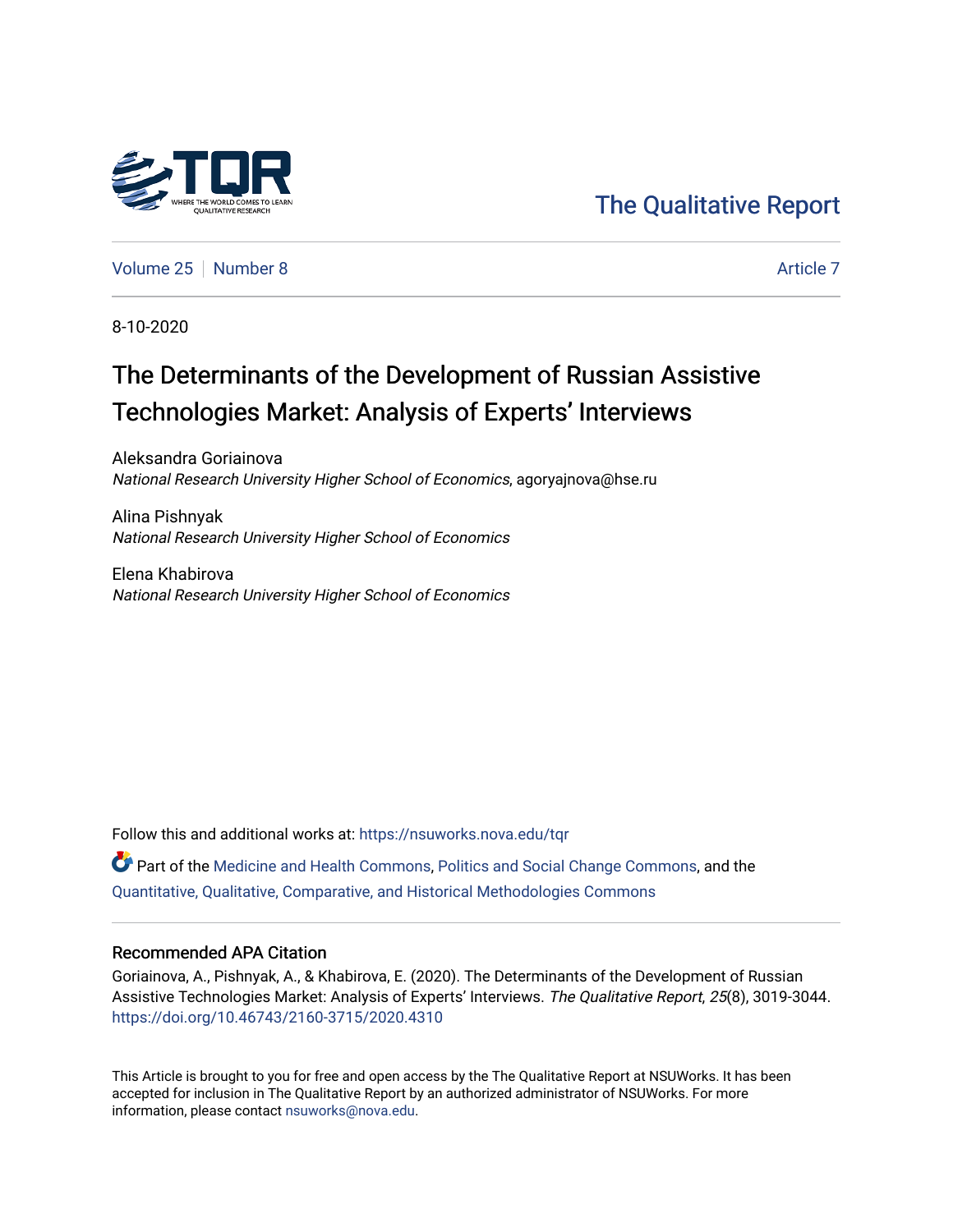

[The Qualitative Report](https://nsuworks.nova.edu/tqr) 

[Volume 25](https://nsuworks.nova.edu/tqr/vol25) [Number 8](https://nsuworks.nova.edu/tqr/vol25/iss8) [Article 7](https://nsuworks.nova.edu/tqr/vol25/iss8/7) Article 7 Article 7 Article 7 Article 7 Article 7 Article 7

8-10-2020

## The Determinants of the Development of Russian Assistive Technologies Market: Analysis of Experts' Interviews

Aleksandra Goriainova National Research University Higher School of Economics, agoryajnova@hse.ru

Alina Pishnyak National Research University Higher School of Economics

Elena Khabirova National Research University Higher School of Economics

Follow this and additional works at: [https://nsuworks.nova.edu/tqr](https://nsuworks.nova.edu/tqr?utm_source=nsuworks.nova.edu%2Ftqr%2Fvol25%2Fiss8%2F7&utm_medium=PDF&utm_campaign=PDFCoverPages) 

Part of the [Medicine and Health Commons](http://network.bepress.com/hgg/discipline/422?utm_source=nsuworks.nova.edu%2Ftqr%2Fvol25%2Fiss8%2F7&utm_medium=PDF&utm_campaign=PDFCoverPages), [Politics and Social Change Commons](http://network.bepress.com/hgg/discipline/425?utm_source=nsuworks.nova.edu%2Ftqr%2Fvol25%2Fiss8%2F7&utm_medium=PDF&utm_campaign=PDFCoverPages), and the [Quantitative, Qualitative, Comparative, and Historical Methodologies Commons](http://network.bepress.com/hgg/discipline/423?utm_source=nsuworks.nova.edu%2Ftqr%2Fvol25%2Fiss8%2F7&utm_medium=PDF&utm_campaign=PDFCoverPages) 

#### Recommended APA Citation

Goriainova, A., Pishnyak, A., & Khabirova, E. (2020). The Determinants of the Development of Russian Assistive Technologies Market: Analysis of Experts' Interviews. The Qualitative Report, 25(8), 3019-3044. <https://doi.org/10.46743/2160-3715/2020.4310>

This Article is brought to you for free and open access by the The Qualitative Report at NSUWorks. It has been accepted for inclusion in The Qualitative Report by an authorized administrator of NSUWorks. For more information, please contact [nsuworks@nova.edu.](mailto:nsuworks@nova.edu)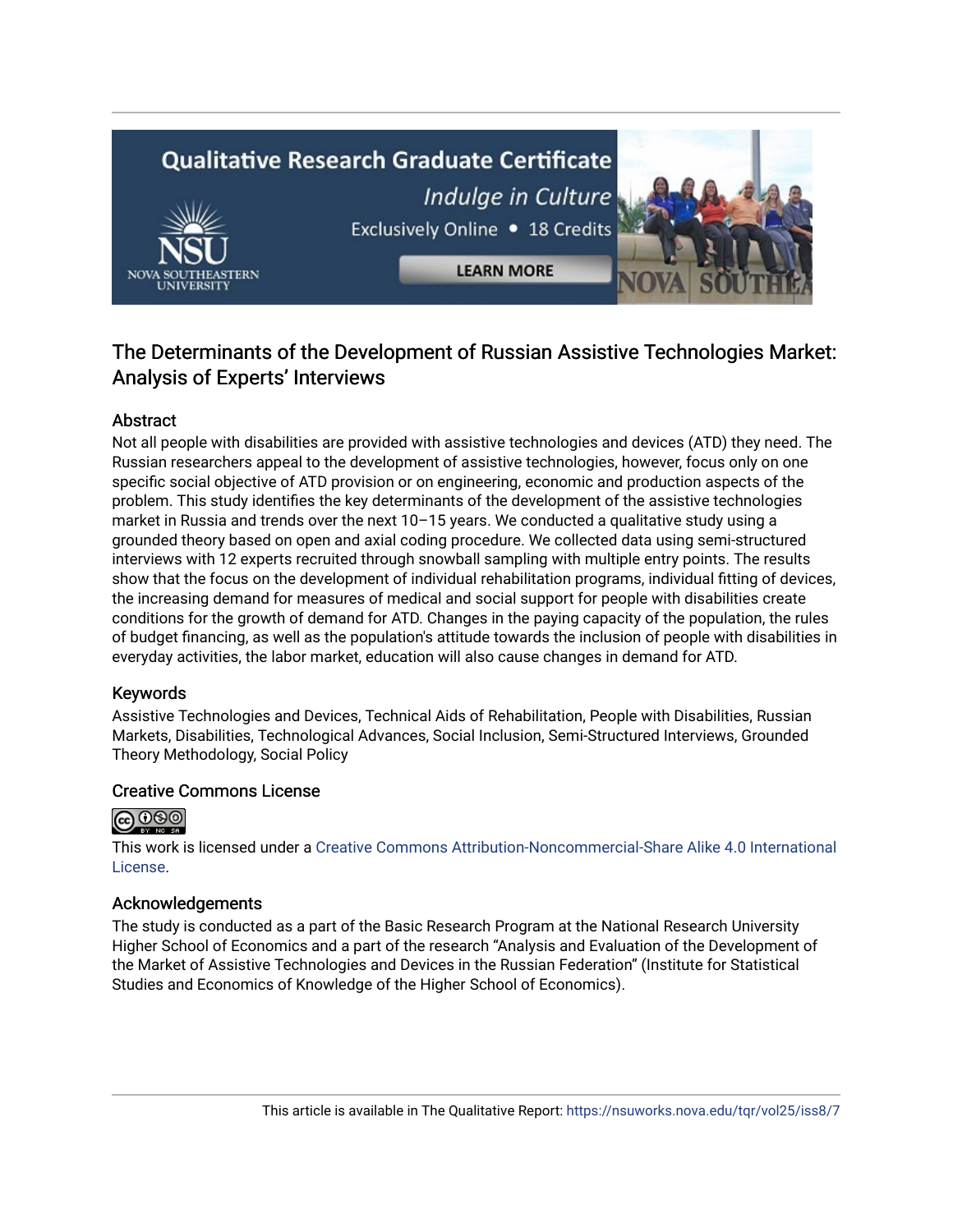# **Qualitative Research Graduate Certificate** Indulge in Culture Exclusively Online . 18 Credits **LEARN MORE**

### The Determinants of the Development of Russian Assistive Technologies Market: Analysis of Experts' Interviews

#### Abstract

Not all people with disabilities are provided with assistive technologies and devices (ATD) they need. The Russian researchers appeal to the development of assistive technologies, however, focus only on one specific social objective of ATD provision or on engineering, economic and production aspects of the problem. This study identifies the key determinants of the development of the assistive technologies market in Russia and trends over the next 10–15 years. We conducted a qualitative study using a grounded theory based on open and axial coding procedure. We collected data using semi-structured interviews with 12 experts recruited through snowball sampling with multiple entry points. The results show that the focus on the development of individual rehabilitation programs, individual fitting of devices, the increasing demand for measures of medical and social support for people with disabilities create conditions for the growth of demand for ATD. Changes in the paying capacity of the population, the rules of budget financing, as well as the population's attitude towards the inclusion of people with disabilities in everyday activities, the labor market, education will also cause changes in demand for ATD.

#### Keywords

Assistive Technologies and Devices, Technical Aids of Rehabilitation, People with Disabilities, Russian Markets, Disabilities, Technological Advances, Social Inclusion, Semi-Structured Interviews, Grounded Theory Methodology, Social Policy

#### Creative Commons License



This work is licensed under a [Creative Commons Attribution-Noncommercial-Share Alike 4.0 International](https://creativecommons.org/licenses/by-nc-sa/4.0/)  [License](https://creativecommons.org/licenses/by-nc-sa/4.0/).

#### Acknowledgements

The study is conducted as a part of the Basic Research Program at the National Research University Higher School of Economics and a part of the research "Analysis and Evaluation of the Development of the Market of Assistive Technologies and Devices in the Russian Federation" (Institute for Statistical Studies and Economics of Knowledge of the Higher School of Economics).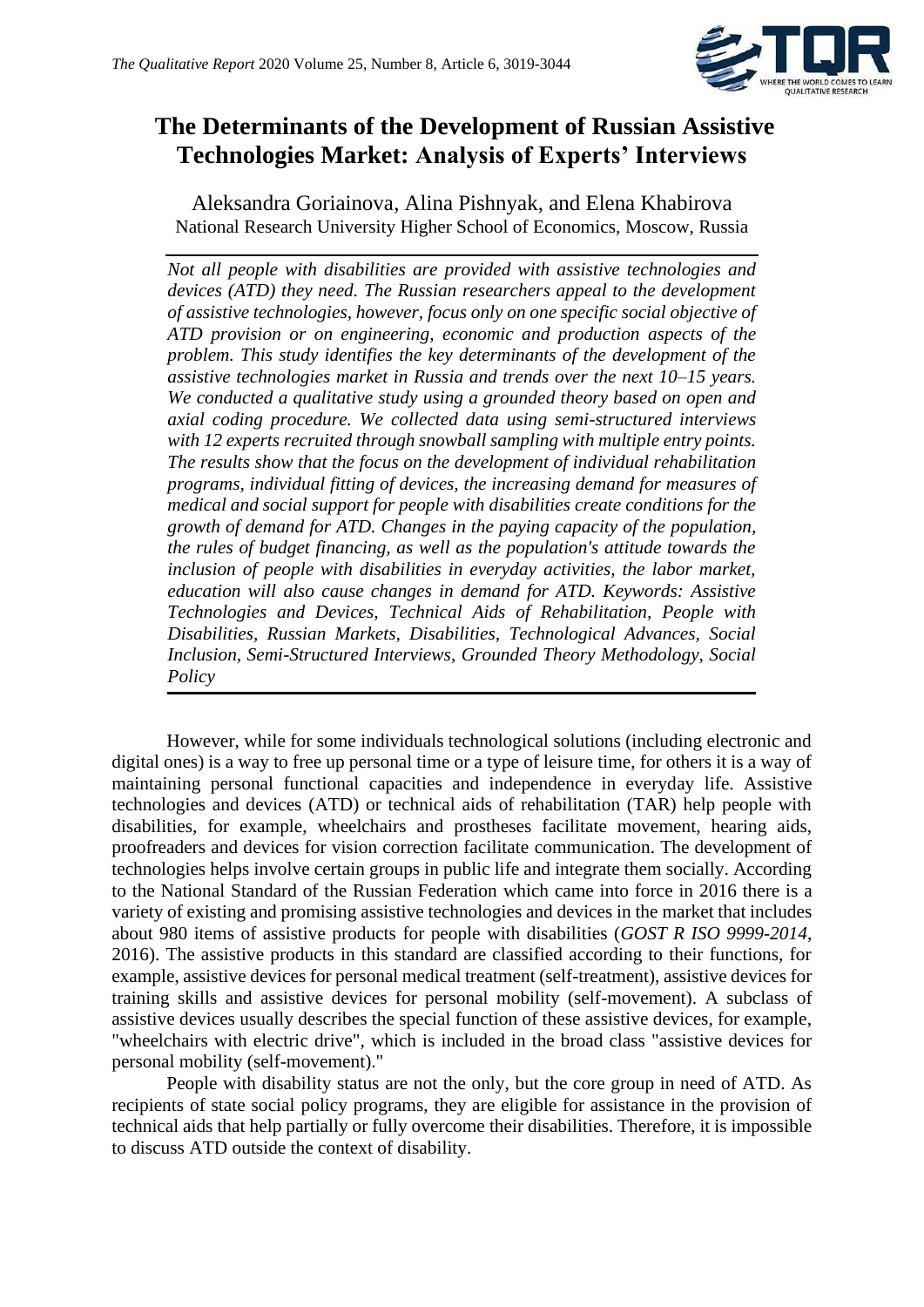

## **The Determinants of the Development of Russian Assistive Technologies Market: Analysis of Experts' Interviews**

Aleksandra Goriainova, Alina Pishnyak, and Elena Khabirova National Research University Higher School of Economics, Moscow, Russia

*Not all people with disabilities are provided with assistive technologies and devices (ATD) they need. The Russian researchers appeal to the development of assistive technologies, however, focus only on one specific social objective of ATD provision or on engineering, economic and production aspects of the problem. This study identifies the key determinants of the development of the assistive technologies market in Russia and trends over the next 10–15 years. We conducted a qualitative study using a grounded theory based on open and axial coding procedure. We collected data using semi-structured interviews with 12 experts recruited through snowball sampling with multiple entry points. The results show that the focus on the development of individual rehabilitation programs, individual fitting of devices, the increasing demand for measures of medical and social support for people with disabilities create conditions for the growth of demand for ATD. Changes in the paying capacity of the population, the rules of budget financing, as well as the population's attitude towards the inclusion of people with disabilities in everyday activities, the labor market, education will also cause changes in demand for ATD. Keywords: Assistive Technologies and Devices, Technical Aids of Rehabilitation, People with Disabilities, Russian Markets, Disabilities, Technological Advances, Social Inclusion, Semi-Structured Interviews, Grounded Theory Methodology, Social Policy*

However, while for some individuals technological solutions (including electronic and digital ones) is a way to free up personal time or a type of leisure time, for others it is a way of maintaining personal functional capacities and independence in everyday life. Assistive technologies and devices (ATD) or technical aids of rehabilitation (TAR) help people with disabilities, for example, wheelchairs and prostheses facilitate movement, hearing aids, proofreaders and devices for vision correction facilitate communication. The development of technologies helps involve certain groups in public life and integrate them socially. According to the National Standard of the Russian Federation which came into force in 2016 there is a variety of existing and promising assistive technologies and devices in the market that includes about 980 items of assistive products for people with disabilities (*GOST R ISO 9999-2014*, 2016). The assistive products in this standard are classified according to their functions, for example, assistive devices for personal medical treatment (self-treatment), assistive devices for training skills and assistive devices for personal mobility (self-movement). A subclass of assistive devices usually describes the special function of these assistive devices, for example, "wheelchairs with electric drive", which is included in the broad class "assistive devices for personal mobility (self-movement)."

People with disability status are not the only, but the core group in need of ATD. As recipients of state social policy programs, they are eligible for assistance in the provision of technical aids that help partially or fully overcome their disabilities. Therefore, it is impossible to discuss ATD outside the context of disability.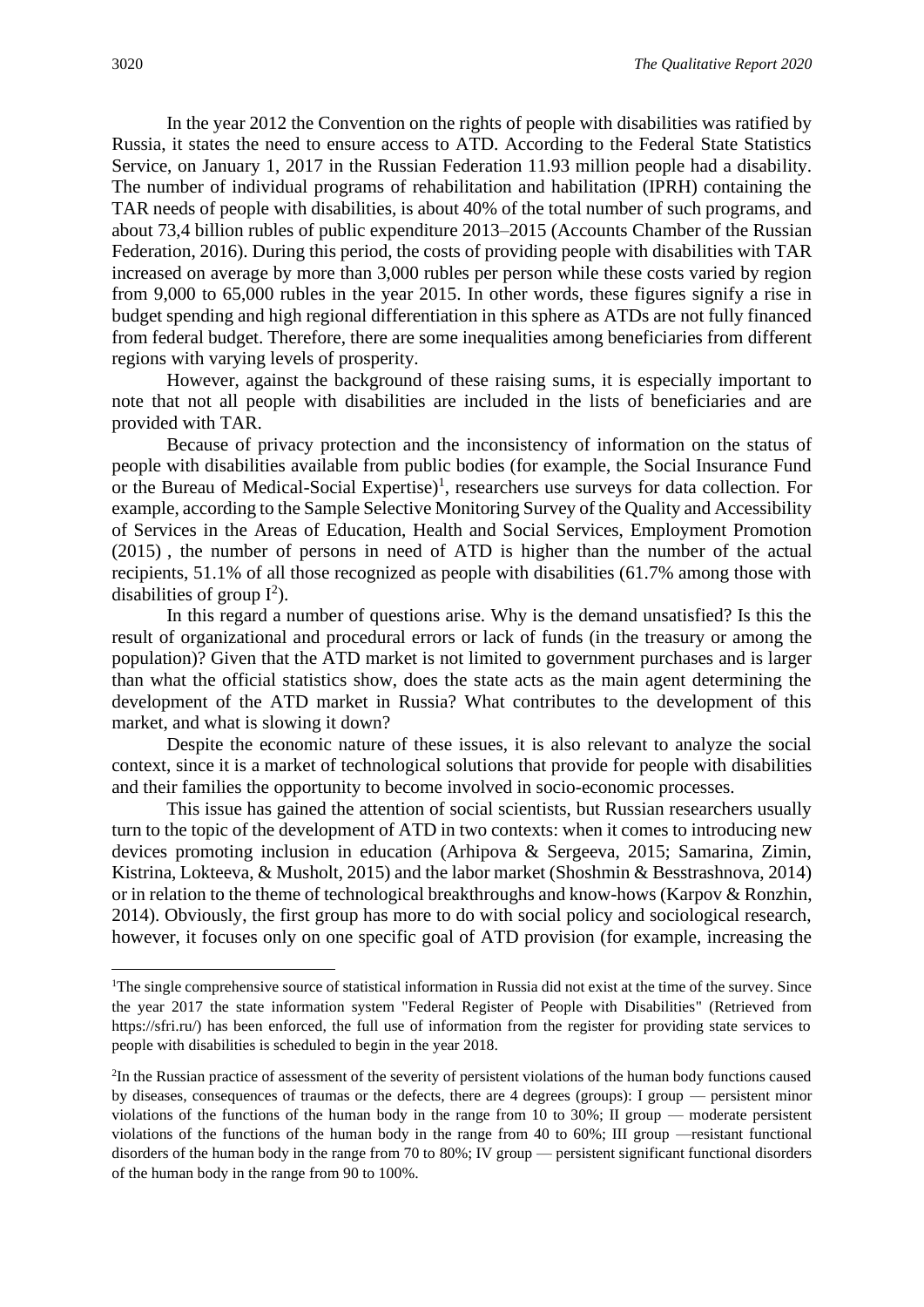In the year 2012 the Convention on the rights of people with disabilities was ratified by Russia, it states the need to ensure access to ATD. According to the Federal State Statistics Service, on January 1, 2017 in the Russian Federation 11.93 million people had a disability. The number of individual programs of rehabilitation and habilitation (IPRH) containing the TAR needs of people with disabilities, is about 40% of the total number of such programs, and about 73,4 billion rubles of public expenditure 2013–2015 (Accounts Chamber of the Russian Federation, 2016). During this period, the costs of providing people with disabilities with TAR increased on average by more than 3,000 rubles per person while these costs varied by region from 9,000 to 65,000 rubles in the year 2015. In other words, these figures signify a rise in budget spending and high regional differentiation in this sphere as ATDs are not fully financed from federal budget. Therefore, there are some inequalities among beneficiaries from different regions with varying levels of prosperity.

However, against the background of these raising sums, it is especially important to note that not all people with disabilities are included in the lists of beneficiaries and are provided with TAR.

Because of privacy protection and the inconsistency of information on the status of people with disabilities available from public bodies (for example, the Social Insurance Fund or the Bureau of Medical-Social Expertise)<sup>1</sup>, researchers use surveys for data collection. For example, according to the Sample Selective Monitoring Survey of the Quality and Accessibility of Services in the Areas of Education, Health and Social Services, Employment Promotion (2015) , the number of persons in need of ATD is higher than the number of the actual recipients, 51.1% of all those recognized as people with disabilities (61.7% among those with disabilities of group  $I^2$ ).

In this regard a number of questions arise. Why is the demand unsatisfied? Is this the result of organizational and procedural errors or lack of funds (in the treasury or among the population)? Given that the ATD market is not limited to government purchases and is larger than what the official statistics show, does the state acts as the main agent determining the development of the ATD market in Russia? What contributes to the development of this market, and what is slowing it down?

Despite the economic nature of these issues, it is also relevant to analyze the social context, since it is a market of technological solutions that provide for people with disabilities and their families the opportunity to become involved in socio-economic processes.

This issue has gained the attention of social scientists, but Russian researchers usually turn to the topic of the development of ATD in two contexts: when it comes to introducing new devices promoting inclusion in education (Arhipova & Sergeeva, 2015; Samarina, Zimin, Kistrina, Lokteeva, & Musholt, 2015) and the labor market (Shoshmin & Besstrashnova, 2014) or in relation to the theme of technological breakthroughs and know-hows (Karpov & Ronzhin, 2014). Obviously, the first group has more to do with social policy and sociological research, however, it focuses only on one specific goal of ATD provision (for example, increasing the

<sup>&</sup>lt;sup>1</sup>The single comprehensive source of statistical information in Russia did not exist at the time of the survey. Since the year 2017 the state information system "Federal Register of People with Disabilities" (Retrieved from https://sfri.ru/) has been enforced, the full use of information from the register for providing state services to people with disabilities is scheduled to begin in the year 2018.

<sup>2</sup> In the Russian practice of assessment of the severity of persistent violations of the human body functions caused by diseases, consequences of traumas or the defects, there are 4 degrees (groups): I group — persistent minor violations of the functions of the human body in the range from 10 to 30%; II group — moderate persistent violations of the functions of the human body in the range from 40 to 60%; III group —resistant functional disorders of the human body in the range from 70 to 80%; IV group — persistent significant functional disorders of the human body in the range from 90 to 100%.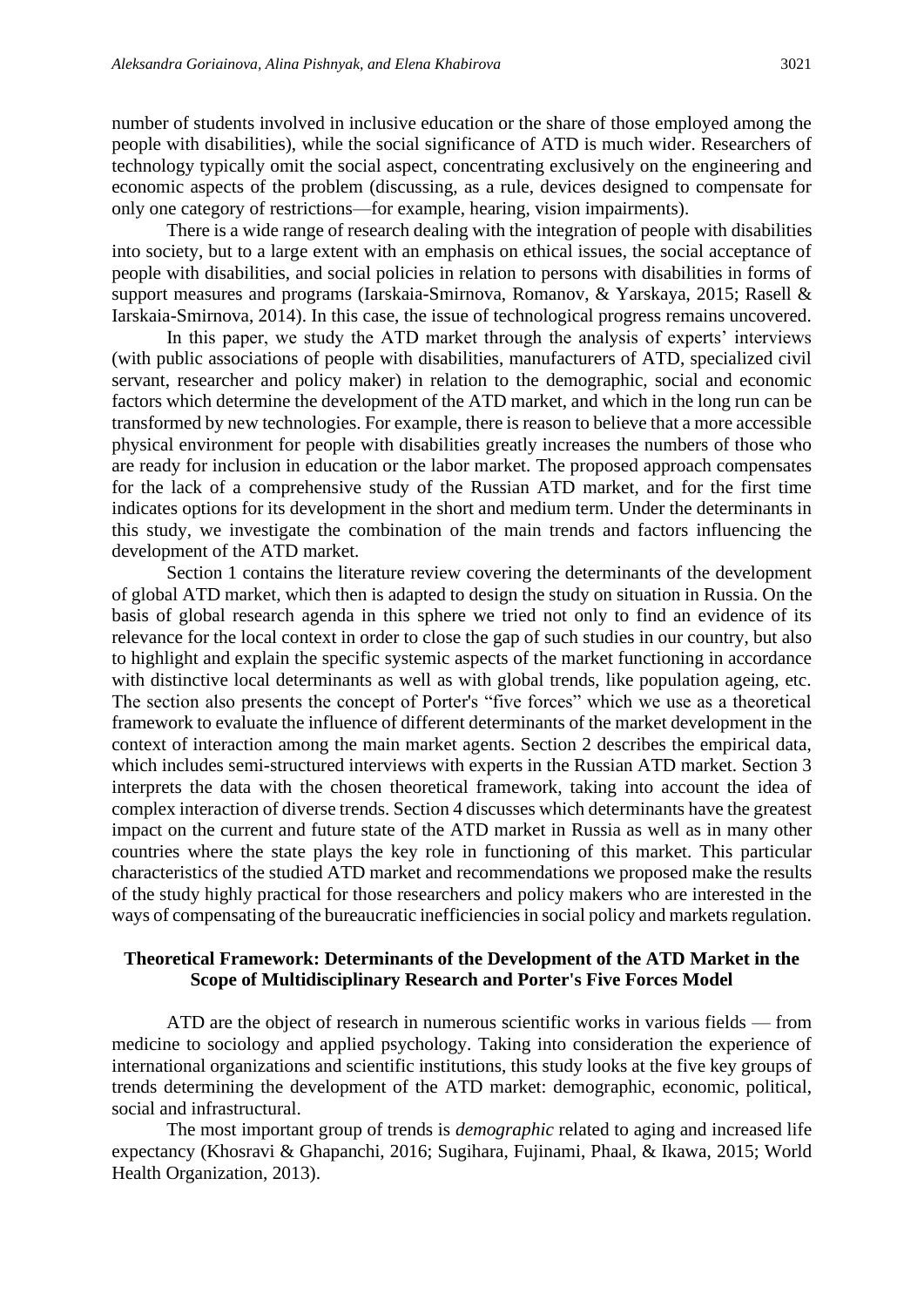number of students involved in inclusive education or the share of those employed among the people with disabilities), while the social significance of ATD is much wider. Researchers of technology typically omit the social aspect, concentrating exclusively on the engineering and economic aspects of the problem (discussing, as a rule, devices designed to compensate for only one category of restrictions—for example, hearing, vision impairments).

There is a wide range of research dealing with the integration of people with disabilities into society, but to a large extent with an emphasis on ethical issues, the social acceptance of people with disabilities, and social policies in relation to persons with disabilities in forms of support measures and programs (Iarskaia-Smirnova, Romanov, & Yarskaya, 2015; Rasell & Iarskaia-Smirnova, 2014). In this case, the issue of technological progress remains uncovered.

In this paper, we study the ATD market through the analysis of experts' interviews (with public associations of people with disabilities, manufacturers of ATD, specialized civil servant, researcher and policy maker) in relation to the demographic, social and economic factors which determine the development of the ATD market, and which in the long run can be transformed by new technologies. For example, there is reason to believe that a more accessible physical environment for people with disabilities greatly increases the numbers of those who are ready for inclusion in education or the labor market. The proposed approach compensates for the lack of a comprehensive study of the Russian ATD market, and for the first time indicates options for its development in the short and medium term. Under the determinants in this study, we investigate the combination of the main trends and factors influencing the development of the ATD market.

Section 1 contains the literature review covering the determinants of the development of global ATD market, which then is adapted to design the study on situation in Russia. On the basis of global research agenda in this sphere we tried not only to find an evidence of its relevance for the local context in order to close the gap of such studies in our country, but also to highlight and explain the specific systemic aspects of the market functioning in accordance with distinctive local determinants as well as with global trends, like population ageing, etc. The section also presents the concept of Porter's "five forces" which we use as a theoretical framework to evaluate the influence of different determinants of the market development in the context of interaction among the main market agents. Section 2 describes the empirical data, which includes semi-structured interviews with experts in the Russian ATD market. Section 3 interprets the data with the chosen theoretical framework, taking into account the idea of complex interaction of diverse trends. Section 4 discusses which determinants have the greatest impact on the current and future state of the ATD market in Russia as well as in many other countries where the state plays the key role in functioning of this market. This particular characteristics of the studied ATD market and recommendations we proposed make the results of the study highly practical for those researchers and policy makers who are interested in the ways of compensating of the bureaucratic inefficiencies in social policy and markets regulation.

#### **Theoretical Framework: Determinants of the Development of the ATD Market in the Scope of Multidisciplinary Research and Porter's Five Forces Model**

ATD are the object of research in numerous scientific works in various fields — from medicine to sociology and applied psychology. Taking into consideration the experience of international organizations and scientific institutions, this study looks at the five key groups of trends determining the development of the ATD market: demographic, economic, political, social and infrastructural.

The most important group of trends is *demographic* related to aging and increased life expectancy (Khosravi & Ghapanchi, 2016; Sugihara, Fujinami, Phaal, & Ikawa, 2015; World Health Organization, 2013).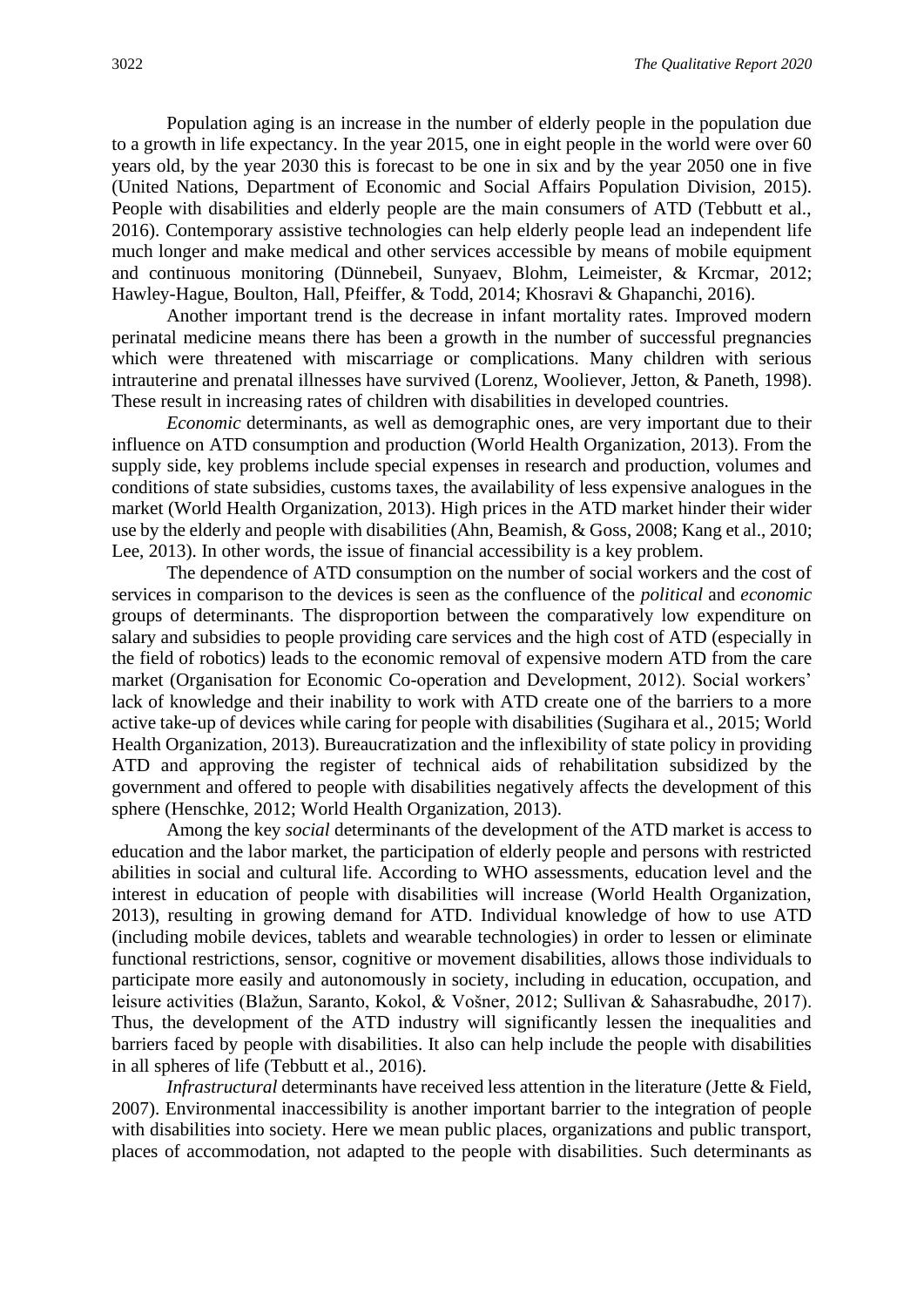Population aging is an increase in the number of elderly people in the population due to a growth in life expectancy. In the year 2015, one in eight people in the world were over 60 years old, by the year 2030 this is forecast to be one in six and by the year 2050 one in five (United Nations, Department of Economic and Social Affairs Population Division, 2015). People with disabilities and elderly people are the main consumers of ATD (Tebbutt et al., 2016). Contemporary assistive technologies can help elderly people lead an independent life much longer and make medical and other services accessible by means of mobile equipment and continuous monitoring (Dünnebeil, Sunyaev, Blohm, Leimeister, & Krcmar, 2012; Hawley-Hague, Boulton, Hall, Pfeiffer, & Todd, 2014; Khosravi & Ghapanchi, 2016).

Another important trend is the decrease in infant mortality rates. Improved modern perinatal medicine means there has been a growth in the number of successful pregnancies which were threatened with miscarriage or complications. Many children with serious intrauterine and prenatal illnesses have survived (Lorenz, Wooliever, Jetton, & Paneth, 1998). These result in increasing rates of children with disabilities in developed countries.

*Economic* determinants*,* as well as demographic ones, are very important due to their influence on ATD consumption and production (World Health Organization, 2013). From the supply side, key problems include special expenses in research and production, volumes and conditions of state subsidies, customs taxes, the availability of less expensive analogues in the market (World Health Organization, 2013). High prices in the ATD market hinder their wider use by the elderly and people with disabilities (Ahn, Beamish, & Goss, 2008; Kang et al., 2010; Lee, 2013). In other words, the issue of financial accessibility is a key problem.

The dependence of ATD consumption on the number of social workers and the cost of services in comparison to the devices is seen as the confluence of the *political* and *economic* groups of determinants. The disproportion between the comparatively low expenditure on salary and subsidies to people providing care services and the high cost of ATD (especially in the field of robotics) leads to the economic removal of expensive modern ATD from the care market (Organisation for Economic Co-operation and Development, 2012). Social workers' lack of knowledge and their inability to work with ATD create one of the barriers to a more active take-up of devices while caring for people with disabilities (Sugihara et al., 2015; World Health Organization, 2013). [Bureaucratization](https://www.multitran.ru/c/m.exe?t=2560254_1_2&s1=%E1%FE%F0%EE%EA%F0%E0%F2%E8%E7%E0%F6%E8%FF) and the inflexibility of state policy in providing ATD and approving the register of technical aids of rehabilitation subsidized by the government and offered to people with disabilities negatively affects the development of this sphere (Henschke, 2012; World Health Organization, 2013).

Among the key *social* determinants of the development of the ATD market is access to education and the labor market, the participation of elderly people and persons with restricted abilities in social and cultural life. According to WHO assessments, education level and the interest in education of people with disabilities will increase (World Health Organization, 2013), resulting in growing demand for ATD. Individual knowledge of how to use ATD (including mobile devices, tablets and wearable technologies) in order to lessen or eliminate functional restrictions, sensor, cognitive or movement disabilities, allows those individuals to participate more easily and autonomously in society, including in education, occupation, and leisure activities (Blažun, Saranto, Kokol, & Vošner, 2012; Sullivan & Sahasrabudhe, 2017). Thus, the development of the ATD industry will significantly lessen the inequalities and barriers faced by people with disabilities. It also can help include the people with disabilities in all spheres of life (Tebbutt et al., 2016).

*Infrastructural* determinants have received less attention in the literature (Jette & Field, 2007). Environmental inaccessibility is another important barrier to the integration of people with disabilities into society. Here we mean public places, organizations and public transport, places of accommodation, not adapted to the people with disabilities. Such determinants as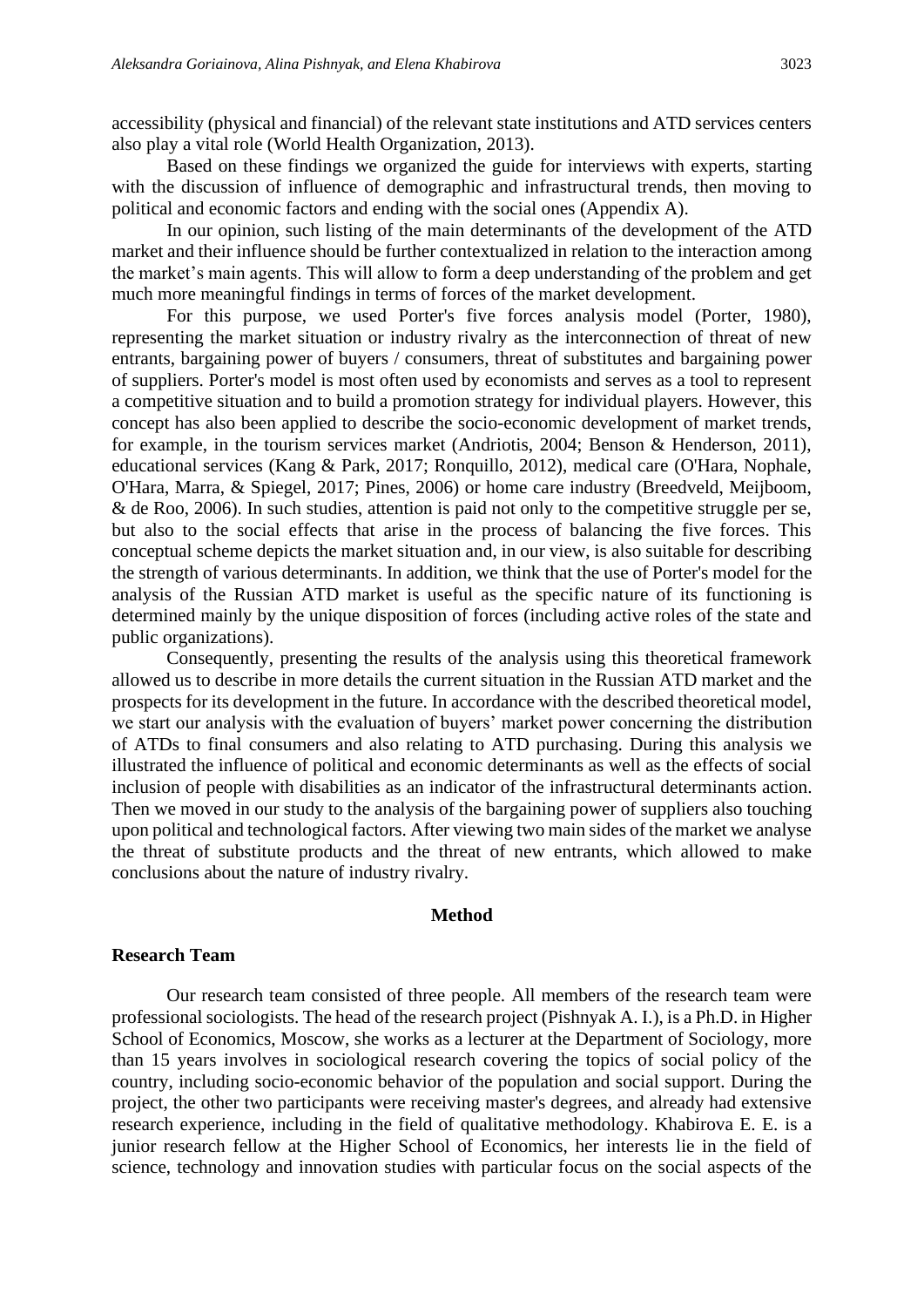accessibility (physical and financial) of the relevant state institutions and ATD services centers also play a vital role (World Health Organization, 2013).

Based on these findings we organized the guide for interviews with experts, starting with the discussion of influence of demographic and infrastructural trends, then moving to political and economic factors and ending with the social ones (Appendix A).

In our opinion, such listing of the main determinants of the development of the ATD market and their influence should be further contextualized in relation to the interaction among the market's main agents. This will allow to form a deep understanding of the problem and get much more meaningful findings in terms of forces of the market development.

For this purpose, we used Porter's five forces analysis model (Porter, 1980), representing the market situation or industry rivalry as the interconnection of threat of new entrants, bargaining power of buyers / consumers, threat of substitutes and bargaining power of suppliers. Porter's model is most often used by economists and serves as a tool to represent a competitive situation and to build a promotion strategy for individual players. However, this concept has also been applied to describe the socio-economic development of market trends, for example, in the tourism services market (Andriotis, 2004; Benson & Henderson, 2011), educational services (Kang & Park, 2017; Ronquillo, 2012), medical care (O'Hara, Nophale, O'Hara, Marra, & Spiegel, 2017; Pines, 2006) or home care industry (Breedveld, Meijboom, & de Roo, 2006). In such studies, attention is paid not only to the competitive struggle per se, but also to the social effects that arise in the process of balancing the five forces. This conceptual scheme depicts the market situation and, in our view, is also suitable for describing the strength of various determinants. In addition, we think that the use of Porter's model for the analysis of the Russian ATD market is useful as the specific nature of its functioning is determined mainly by the unique disposition of forces (including active roles of the state and public organizations).

Consequently, presenting the results of the analysis using this theoretical framework allowed us to describe in more details the current situation in the Russian ATD market and the prospects for its development in the future. In accordance with the described theoretical model, we start our analysis with the evaluation of buyers' market power concerning the distribution of ATDs to final consumers and also relating to ATD purchasing. During this analysis we illustrated the influence of political and economic determinants as well as the effects of social inclusion of people with disabilities as an indicator of the infrastructural determinants action. Then we moved in our study to the analysis of the bargaining power of suppliers also touching upon political and technological factors. After viewing two main sides of the market we analyse the threat of substitute products and the threat of new entrants, which allowed to make conclusions about the nature of industry rivalry.

#### **Method**

#### **Research Team**

Our research team consisted of three people. All members of the research team were professional sociologists. The head of the research project (Pishnyak A. I.), is a Ph.D. in Higher School of Economics, Moscow, she works as a lecturer at the Department of Sociology, more than 15 years involves in sociological research covering the topics of social policy of the country, including socio-economic behavior of the population and social support. During the project, the other two participants were receiving master's degrees, and already had extensive research experience, including in the field of qualitative methodology. Khabirova E. E. is a junior research fellow at the Higher School of Economics, her interests lie in the field of science, technology and innovation studies with particular focus on the social aspects of the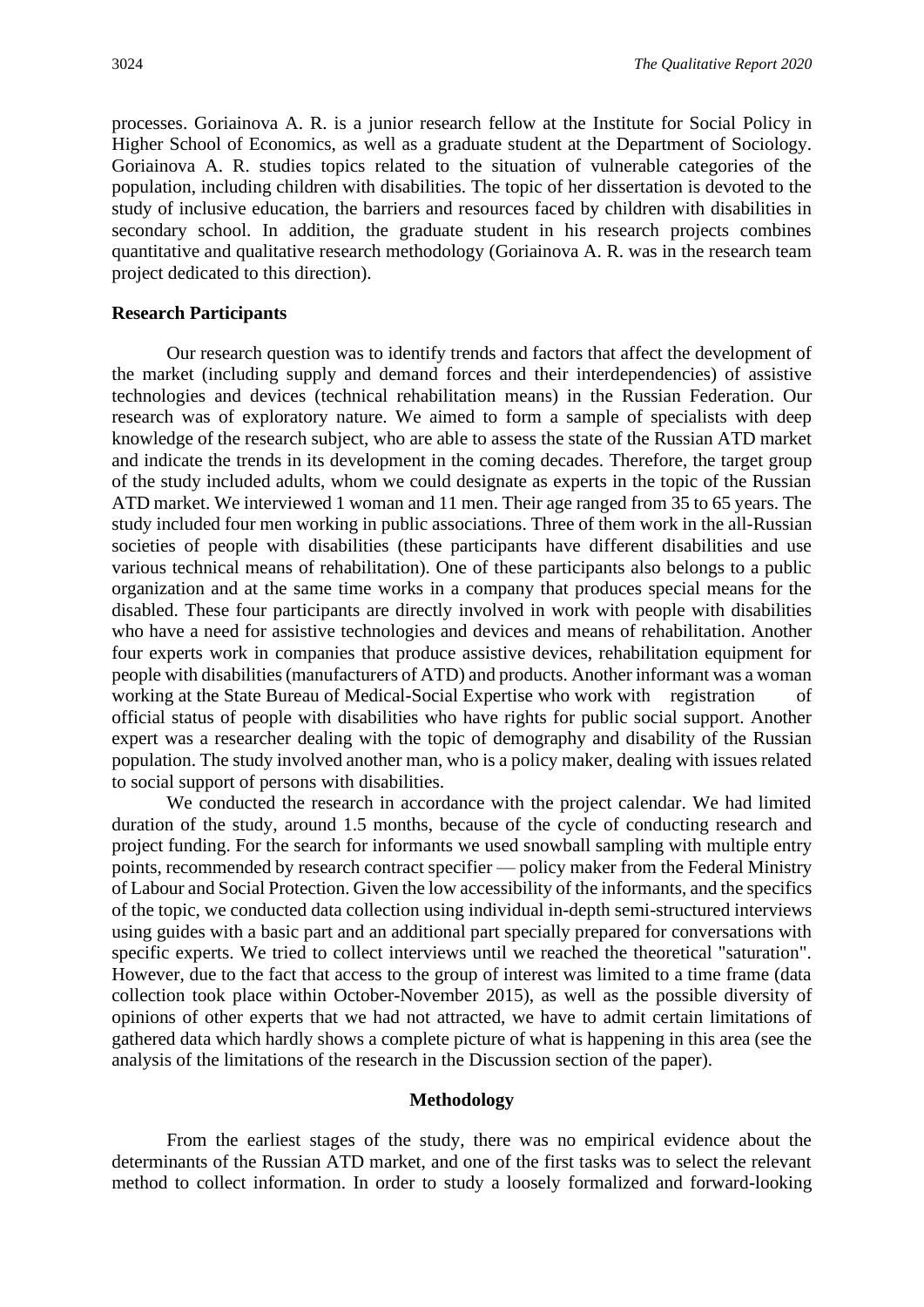processes. Goriainova A. R. is a junior research fellow at the Institute for Social Policy in Higher School of Economics, as well as a graduate student at the Department of Sociology. Goriainova A. R. studies topics related to the situation of vulnerable categories of the population, including children with disabilities. The topic of her dissertation is devoted to the study of inclusive education, the barriers and resources faced by children with disabilities in secondary school. In addition, the graduate student in his research projects combines quantitative and qualitative research methodology (Goriainova A. R. was in the research team project dedicated to this direction).

#### **Research Participants**

Our research question was to identify trends and factors that affect the development of the market (including supply and demand forces and their interdependencies) of assistive technologies and devices (technical rehabilitation means) in the Russian Federation. Our research was of exploratory nature. We aimed to form a sample of specialists with deep knowledge of the research subject, who are able to assess the state of the Russian ATD market and indicate the trends in its development in the coming decades. Therefore, the target group of the study included adults, whom we could designate as experts in the topic of the Russian ATD market. We interviewed 1 woman and 11 men. Their age ranged from 35 to 65 years. The study included four men working in public associations. Three of them work in the all-Russian societies of people with disabilities (these participants have different disabilities and use various technical means of rehabilitation). One of these participants also belongs to a public organization and at the same time works in a company that produces special means for the disabled. These four participants are directly involved in work with people with disabilities who have a need for assistive technologies and devices and means of rehabilitation. Another four experts work in companies that produce assistive devices, rehabilitation equipment for people with disabilities (manufacturers of ATD) and products. Another informant was a woman working at the State Bureau of Medical-Social Expertise who work with registration of official status of people with disabilities who have rights for public social support. Another expert was a researcher dealing with the topic of demography and disability of the Russian population. The study involved another man, who is a policy maker, dealing with issues related to social support of persons with disabilities.

We conducted the research in accordance with the project calendar. We had limited duration of the study, around 1.5 months, because of the cycle of conducting research and project funding. For the search for informants we used snowball sampling with multiple entry points, recommended by research contract specifier — policy maker from the Federal Ministry of Labour and Social Protection. Given the low accessibility of the informants, and the specifics of the topic, we conducted data collection using individual in-depth semi-structured interviews using guides with a basic part and an additional part specially prepared for conversations with specific experts. We tried to collect interviews until we reached the theoretical "saturation". However, due to the fact that access to the group of interest was limited to a time frame (data collection took place within October-November 2015), as well as the possible diversity of opinions of other experts that we had not attracted, we have to admit certain limitations of gathered data which hardly shows a complete picture of what is happening in this area (see the analysis of the limitations of the research in the Discussion section of the paper).

#### **Methodology**

From the earliest stages of the study, there was no empirical evidence about the determinants of the Russian ATD market, and one of the first tasks was to select the relevant method to collect information. In order to study a loosely formalized and forward-looking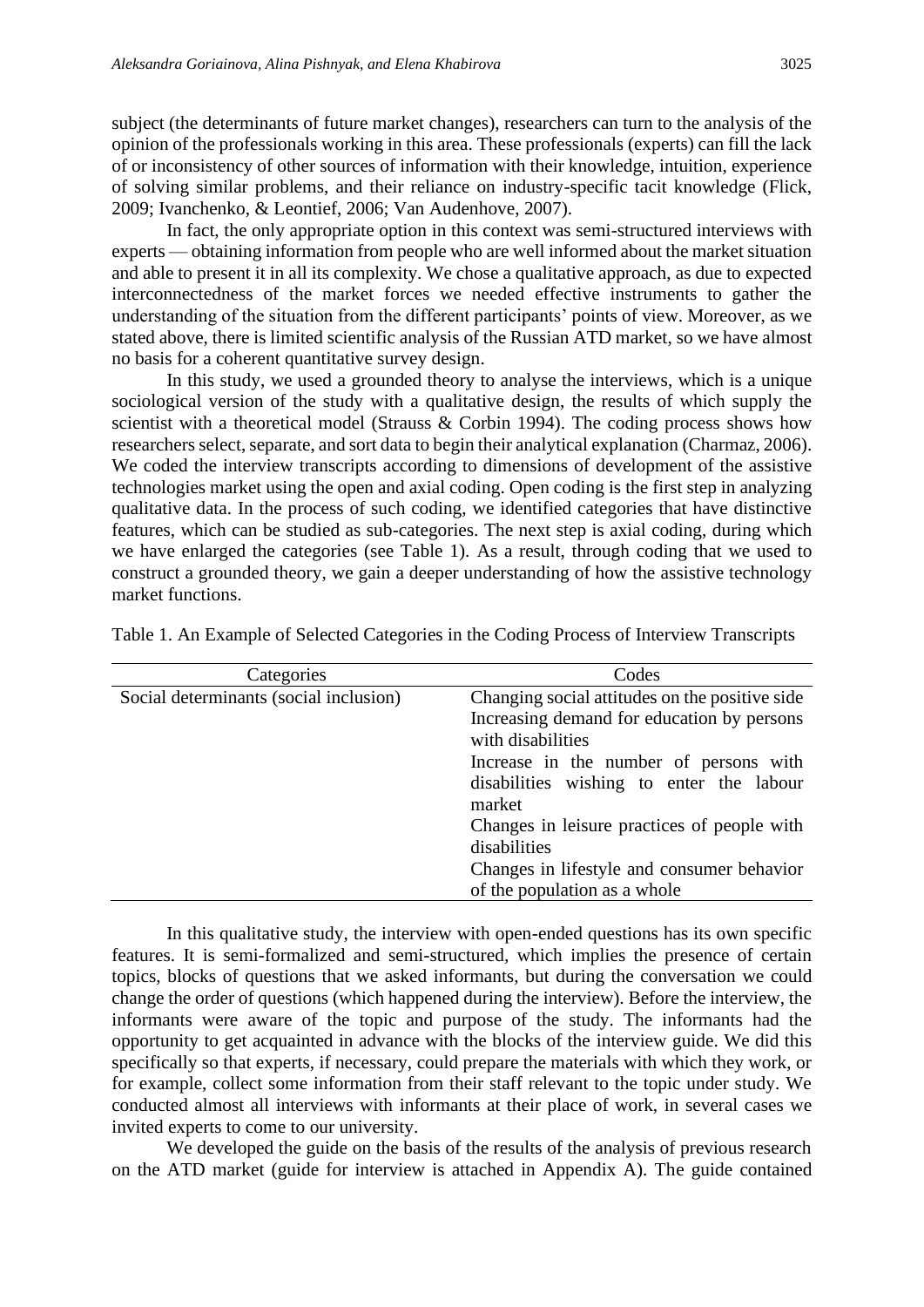subject (the determinants of future market changes), researchers can turn to the analysis of the opinion of the professionals working in this area. These professionals (experts) can fill the lack of or inconsistency of other sources of information with their knowledge, intuition, experience of solving similar problems, and their reliance on industry-specific tacit knowledge (Flick, 2009; Ivanchenko, & Leontief, 2006; Van Audenhove, 2007).

In fact, the only appropriate option in this context was semi-structured interviews with experts — obtaining information from people who are well informed about the market situation and able to present it in all its complexity. We chose a qualitative approach, as due to expected interconnectedness of the market forces we needed effective instruments to gather the understanding of the situation from the different participants' points of view. Moreover, as we stated above, there is limited scientific analysis of the Russian ATD market, so we have almost no basis for a coherent quantitative survey design.

In this study, we used a grounded theory to analyse the interviews, which is a unique sociological version of the study with a qualitative design, the results of which supply the scientist with a theoretical model (Strauss & Corbin 1994). The coding process shows how researchers select, separate, and sort data to begin their analytical explanation (Charmaz, 2006). We coded the interview transcripts according to dimensions of development of the assistive technologies market using the open and axial coding. Open coding is the first step in analyzing qualitative data. In the process of such coding, we identified categories that have distinctive features, which can be studied as sub-categories. The next step is axial coding, during which we have enlarged the categories (see Table 1). As a result, through coding that we used to construct a grounded theory, we gain a deeper understanding of how the assistive technology market functions.

| Categories                             | Codes                                          |
|----------------------------------------|------------------------------------------------|
| Social determinants (social inclusion) | Changing social attitudes on the positive side |
|                                        | Increasing demand for education by persons     |
|                                        | with disabilities                              |
|                                        | Increase in the number of persons with         |
|                                        | disabilities wishing to enter the labour       |
|                                        | market                                         |
|                                        | Changes in leisure practices of people with    |
|                                        | disabilities                                   |
|                                        | Changes in lifestyle and consumer behavior     |
|                                        | of the population as a whole                   |

Table 1. An Example of Selected Categories in the Coding Process of Interview Transcripts

In this qualitative study, the interview with open-ended questions has its own specific features. It is semi-formalized and semi-structured, which implies the presence of certain topics, blocks of questions that we asked informants, but during the conversation we could change the order of questions (which happened during the interview). Before the interview, the informants were aware of the topic and purpose of the study. The informants had the opportunity to get acquainted in advance with the blocks of the interview guide. We did this specifically so that experts, if necessary, could prepare the materials with which they work, or for example, collect some information from their staff relevant to the topic under study. We conducted almost all interviews with informants at their place of work, in several cases we invited experts to come to our university.

We developed the guide on the basis of the results of the analysis of previous research on the ATD market (guide for interview is attached in Appendix A). The guide contained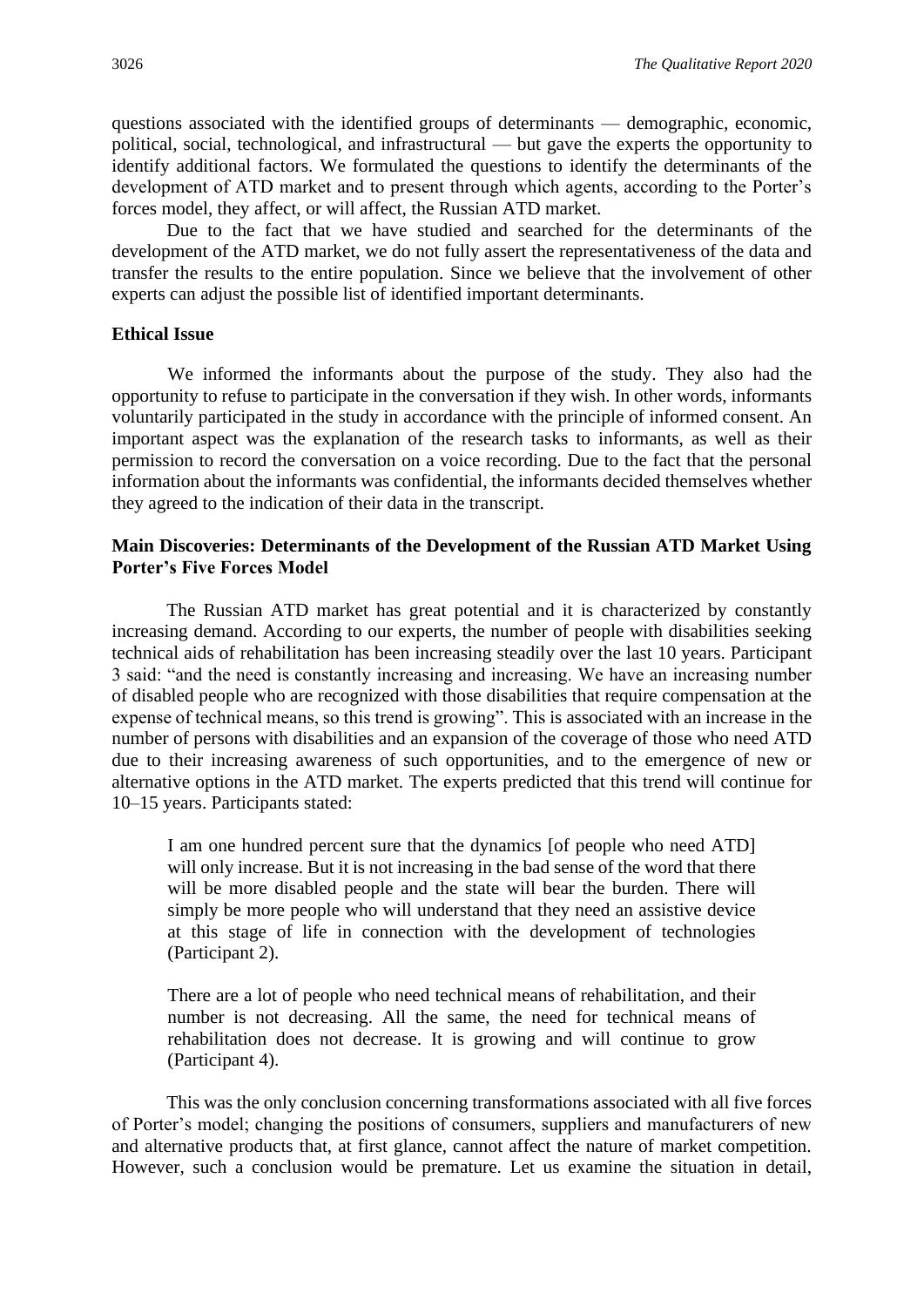questions associated with the identified groups of determinants — demographic, economic, political, social, technological, and infrastructural — but gave the experts the opportunity to identify additional factors. We formulated the questions to identify the determinants of the development of ATD market and to present through which agents, according to the Porter's forces model, they affect, or will affect, the Russian ATD market.

Due to the fact that we have studied and searched for the determinants of the development of the ATD market, we do not fully assert the representativeness of the data and transfer the results to the entire population. Since we believe that the involvement of other experts can adjust the possible list of identified important determinants.

#### **Ethical Issue**

We informed the informants about the purpose of the study. They also had the opportunity to refuse to participate in the conversation if they wish. In other words, informants voluntarily participated in the study in accordance with the principle of informed consent. An important aspect was the explanation of the research tasks to informants, as well as their permission to record the conversation on a voice recording. Due to the fact that the personal information about the informants was confidential, the informants decided themselves whether they agreed to the indication of their data in the transcript.

#### **Main Discoveries: Determinants of the Development of the Russian ATD Market Using Porter's Five Forces Model**

The Russian ATD market has great potential and it is characterized by constantly increasing demand. According to our experts, the number of people with disabilities seeking technical aids of rehabilitation has been increasing steadily over the last 10 years. Participant 3 said: "and the need is constantly increasing and increasing. We have an increasing number of disabled people who are recognized with those disabilities that require compensation at the expense of technical means, so this trend is growing". This is associated with an increase in the number of persons with disabilities and an expansion of the coverage of those who need ATD due to their increasing awareness of such opportunities, and to the emergence of new or alternative options in the ATD market. The experts predicted that this trend will continue for 10–15 years. Participants stated:

I am one hundred percent sure that the dynamics [of people who need ATD] will only increase. But it is not increasing in the bad sense of the word that there will be more disabled people and the state will bear the burden. There will simply be more people who will understand that they need an assistive device at this stage of life in connection with the development of technologies (Participant 2).

There are a lot of people who need technical means of rehabilitation, and their number is not decreasing. All the same, the need for technical means of rehabilitation does not decrease. It is growing and will continue to grow (Participant 4).

This was the only conclusion concerning transformations associated with all five forces of Porter's model; changing the positions of consumers, suppliers and manufacturers of new and alternative products that, at first glance, cannot affect the nature of market competition. However, such a conclusion would be premature. Let us examine the situation in detail,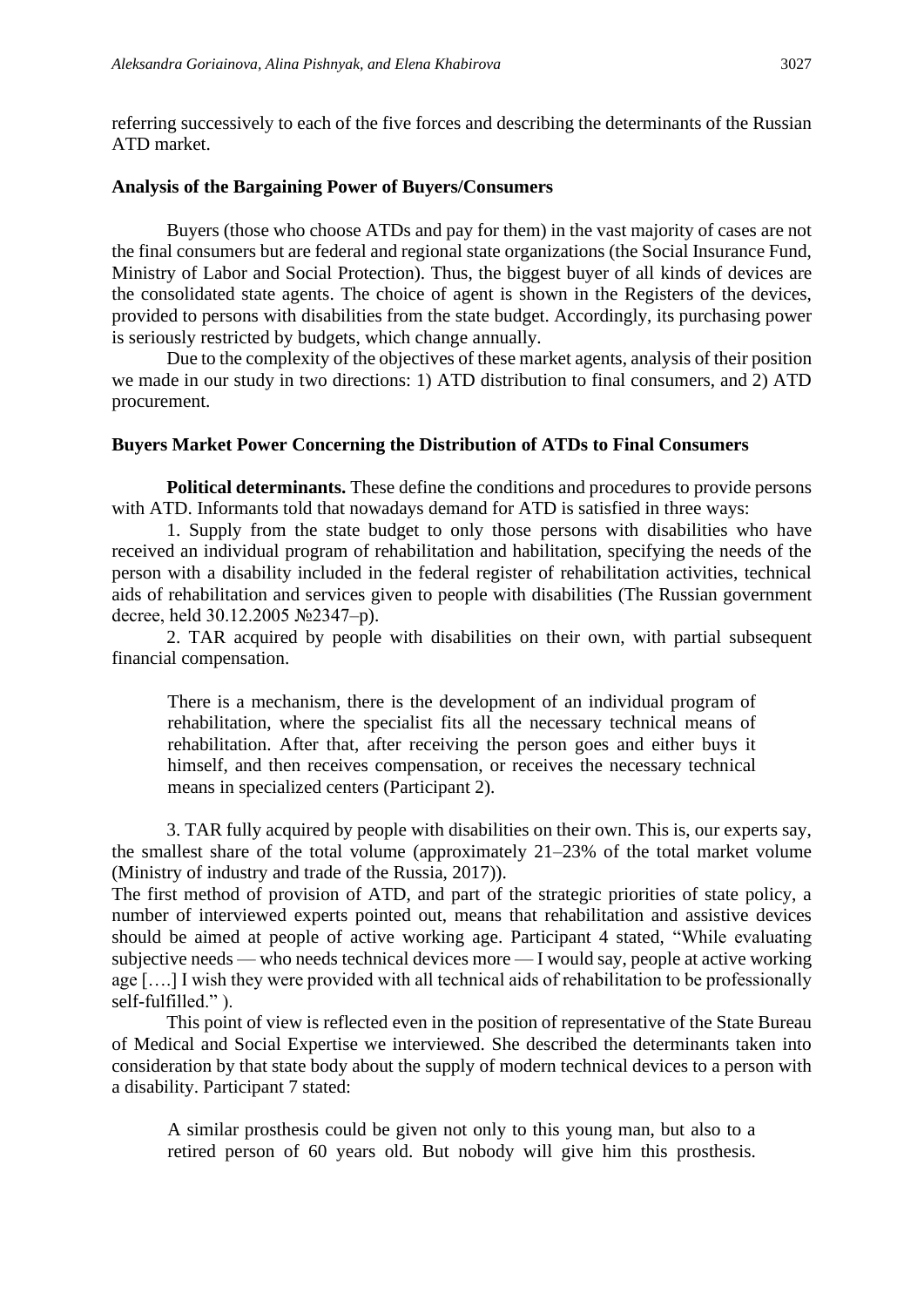referring successively to each of the five forces and describing the determinants of the Russian ATD market.

#### **Analysis of the Bargaining Power of Buyers/Consumers**

Buyers (those who choose ATDs and pay for them) in the vast majority of cases are not the final consumers but are federal and regional state organizations (the Social Insurance Fund, Ministry of Labor and Social Protection). Thus, the biggest buyer of all kinds of devices are the consolidated state agents. The choice of agent is shown in the Registers of the devices, provided to persons with disabilities from the state budget. Accordingly, its purchasing power is seriously restricted by budgets, which change annually.

Due to the complexity of the objectives of these market agents, analysis of their position we made in our study in two directions: 1) ATD distribution to final consumers, and 2) ATD procurement.

#### **Buyers Market Power Concerning the Distribution of ATDs to Final Consumers**

**Political determinants.** These define the conditions and procedures to provide persons with ATD. Informants told that nowadays demand for ATD is satisfied in three ways:

1. Supply from the state budget to only those persons with disabilities who have received an individual program of rehabilitation and habilitation, specifying the needs of the person with a disability included in the federal register of rehabilitation activities, technical aids of rehabilitation and services given to people with disabilities (The Russian government decree, held 30.12.2005 №2347–p).

2. TAR acquired by people with disabilities on their own, with partial subsequent financial compensation.

There is a mechanism, there is the development of an individual program of rehabilitation, where the specialist fits all the necessary technical means of rehabilitation. After that, after receiving the person goes and either buys it himself, and then receives compensation, or receives the necessary technical means in specialized centers (Participant 2).

3. TAR fully acquired by people with disabilities on their own. This is, our experts say, the smallest share of the total volume (approximately 21–23% of the total market volume (Ministry of industry and trade of the Russia, 2017)).

The first method of provision of ATD, and part of the strategic priorities of state policy, a number of interviewed experts pointed out, means that rehabilitation and assistive devices should be aimed at people of active working age. Participant 4 stated, "While evaluating subjective needs — who needs technical devices more — I would say, people at active working age [….] I wish they were provided with all technical aids of rehabilitation to be professionally self-fulfilled." ).

This point of view is reflected even in the position of representative of the State Bureau of Medical and Social Expertise we interviewed. She described the determinants taken into consideration by that state body about the supply of modern technical devices to a person with a disability. Participant 7 stated:

A similar prosthesis could be given not only to this young man, but also to a retired person of 60 years old. But nobody will give him this prosthesis.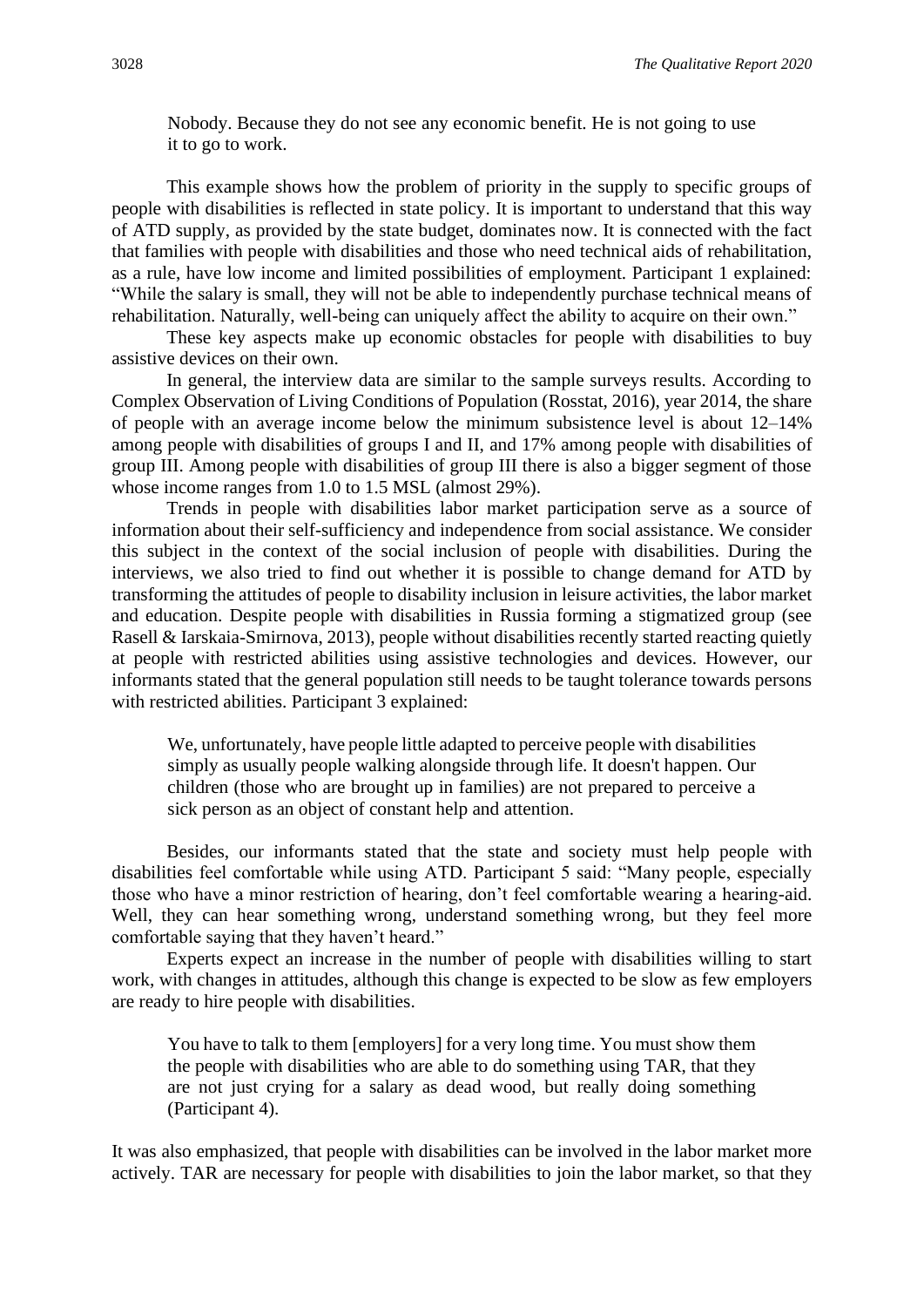Nobody. Because they do not see any economic benefit. He is not going to use it to go to work.

This example shows how the problem of priority in the supply to specific groups of people with disabilities is reflected in state policy. It is important to understand that this way of ATD supply, as provided by the state budget, dominates now. It is connected with the fact that families with people with disabilities and those who need technical aids of rehabilitation, as a rule, have low income and limited possibilities of employment. Participant 1 explained: "While the salary is small, they will not be able to independently purchase technical means of rehabilitation. Naturally, well-being can uniquely affect the ability to acquire on their own."

These key aspects make up economic obstacles for people with disabilities to buy assistive devices on their own.

In general, the interview data are similar to the sample surveys results. According to Complex Observation of Living Conditions of Population (Rosstat, 2016), year 2014, the share of people with an average income below the minimum subsistence level is about 12–14% among people with disabilities of groups I and II, and 17% among people with disabilities of group III. Among people with disabilities of group III there is also a bigger segment of those whose income ranges from 1.0 to 1.5 MSL (almost 29%).

Trends in people with disabilities labor market participation serve as a source of information about their self-sufficiency and independence from social assistance. We consider this subject in the context of the social inclusion of people with disabilities. During the interviews, we also tried to find out whether it is possible to change demand for ATD by transforming the attitudes of people to disability inclusion in leisure activities, the labor market and education. Despite people with disabilities in Russia forming a stigmatized group (see Rasell & Iarskaia-Smirnova, 2013), people without disabilities recently started reacting quietly at people with restricted abilities using assistive technologies and devices. However, our informants stated that the general population still needs to be taught tolerance towards persons with restricted abilities. Participant 3 explained:

We, unfortunately, have people little adapted to perceive people with disabilities simply as usually people walking alongside through life. It doesn't happen. Our children (those who are brought up in families) are not prepared to perceive a sick person as an object of constant help and attention.

Besides, our informants stated that the state and society must help people with disabilities feel comfortable while using ATD. Participant 5 said: "Many people, especially those who have a minor restriction of hearing, don't feel comfortable wearing a hearing-aid. Well, they can hear something wrong, understand something wrong, but they feel more comfortable saying that they haven't heard."

Experts expect an increase in the number of people with disabilities willing to start work, with changes in attitudes, although this change is expected to be slow as few employers are ready to hire people with disabilities.

You have to talk to them [employers] for a very long time. You must show them the people with disabilities who are able to do something using TAR, that they are not just crying for a salary as dead wood, but really doing something (Participant 4).

It was also emphasized, that people with disabilities can be involved in the labor market more actively. TAR are necessary for people with disabilities to join the labor market, so that they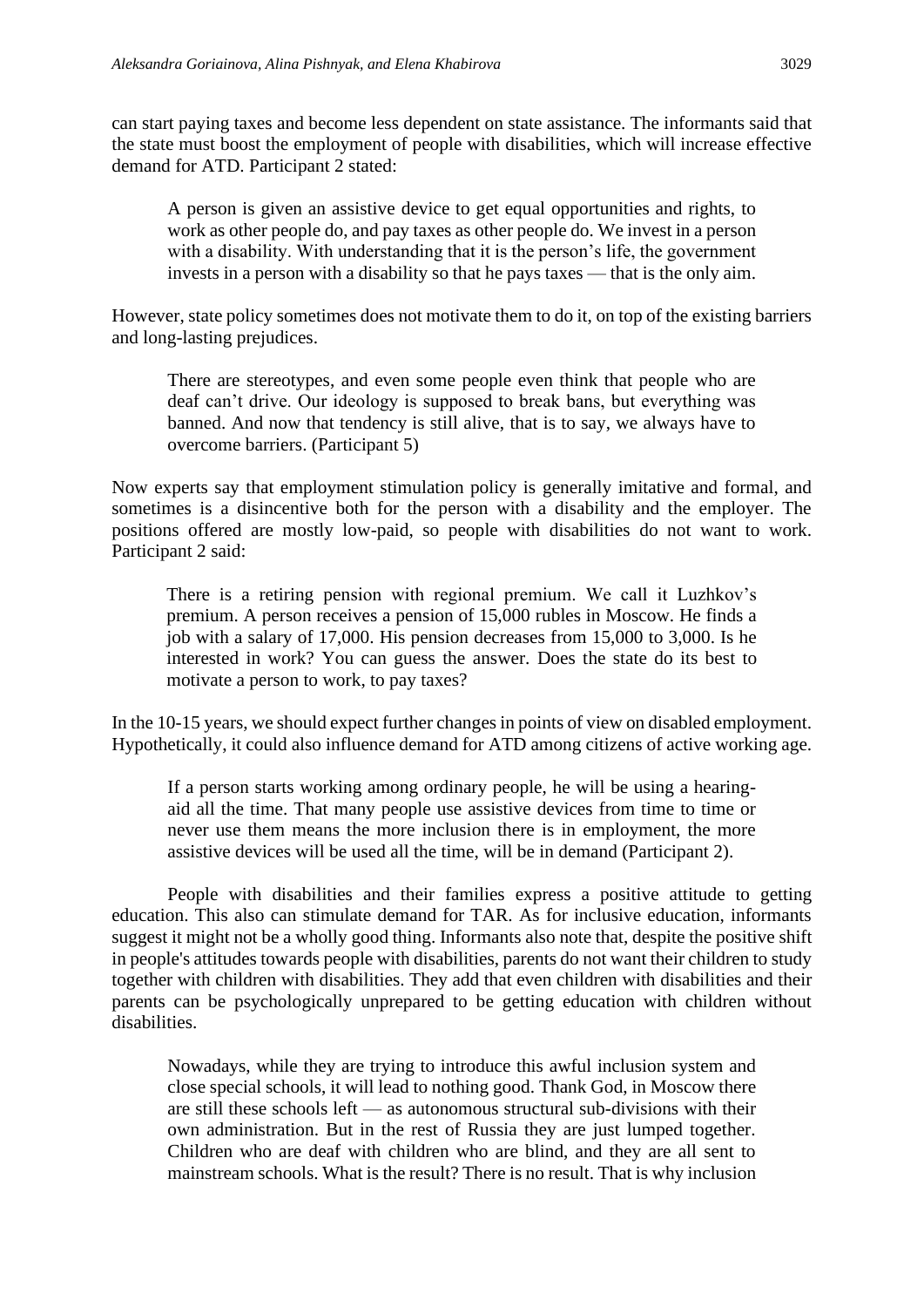can start paying taxes and become less dependent on state assistance. The informants said that the state must boost the employment of people with disabilities, which will increase effective demand for ATD. Participant 2 stated:

A person is given an assistive device to get equal opportunities and rights, to work as other people do, and pay taxes as other people do. We invest in a person with a disability. With understanding that it is the person's life, the government invests in a person with a disability so that he pays taxes — that is the only aim.

However, state policy sometimes does not motivate them to do it, on top of the existing barriers and long-lasting prejudices.

There are stereotypes, and even some people even think that people who are deaf can't drive. Our ideology is supposed to break bans, but everything was banned. And now that tendency is still alive, that is to say, we always have to overcome barriers. (Participant 5)

Now experts say that employment stimulation policy is generally imitative and formal, and sometimes is a disincentive both for the person with a disability and the employer. The positions offered are mostly low-paid, so people with disabilities do not want to work. Participant 2 said:

There is a retiring pension with regional premium. We call it Luzhkov's premium. A person receives a pension of 15,000 rubles in Moscow. He finds a job with a salary of 17,000. His pension decreases from 15,000 to 3,000. Is he interested in work? You can guess the answer. Does the state do its best to motivate a person to work, to pay taxes?

In the 10-15 years, we should expect further changes in points of view on disabled employment. Hypothetically, it could also influence demand for ATD among citizens of active working age.

If a person starts working among ordinary people, he will be using a hearingaid all the time. That many people use assistive devices from time to time or never use them means the more inclusion there is in employment, the more assistive devices will be used all the time, will be in demand (Participant 2).

People with disabilities and their families express a positive attitude to getting education. This also can stimulate demand for TAR. As for inclusive education, informants suggest it might not be a wholly good thing. Informants also note that, despite the positive shift in people's attitudes towards people with disabilities, parents do not want their children to study together with children with disabilities. They add that even children with disabilities and their parents can be psychologically unprepared to be getting education with children without disabilities.

Nowadays, while they are trying to introduce this awful inclusion system and close special schools, it will lead to nothing good. Thank God, in Moscow there are still these schools left — as autonomous structural sub-divisions with their own administration. But in the rest of Russia they are just lumped together. Children who are deaf with children who are blind, and they are all sent to mainstream schools. What is the result? There is no result. That is why inclusion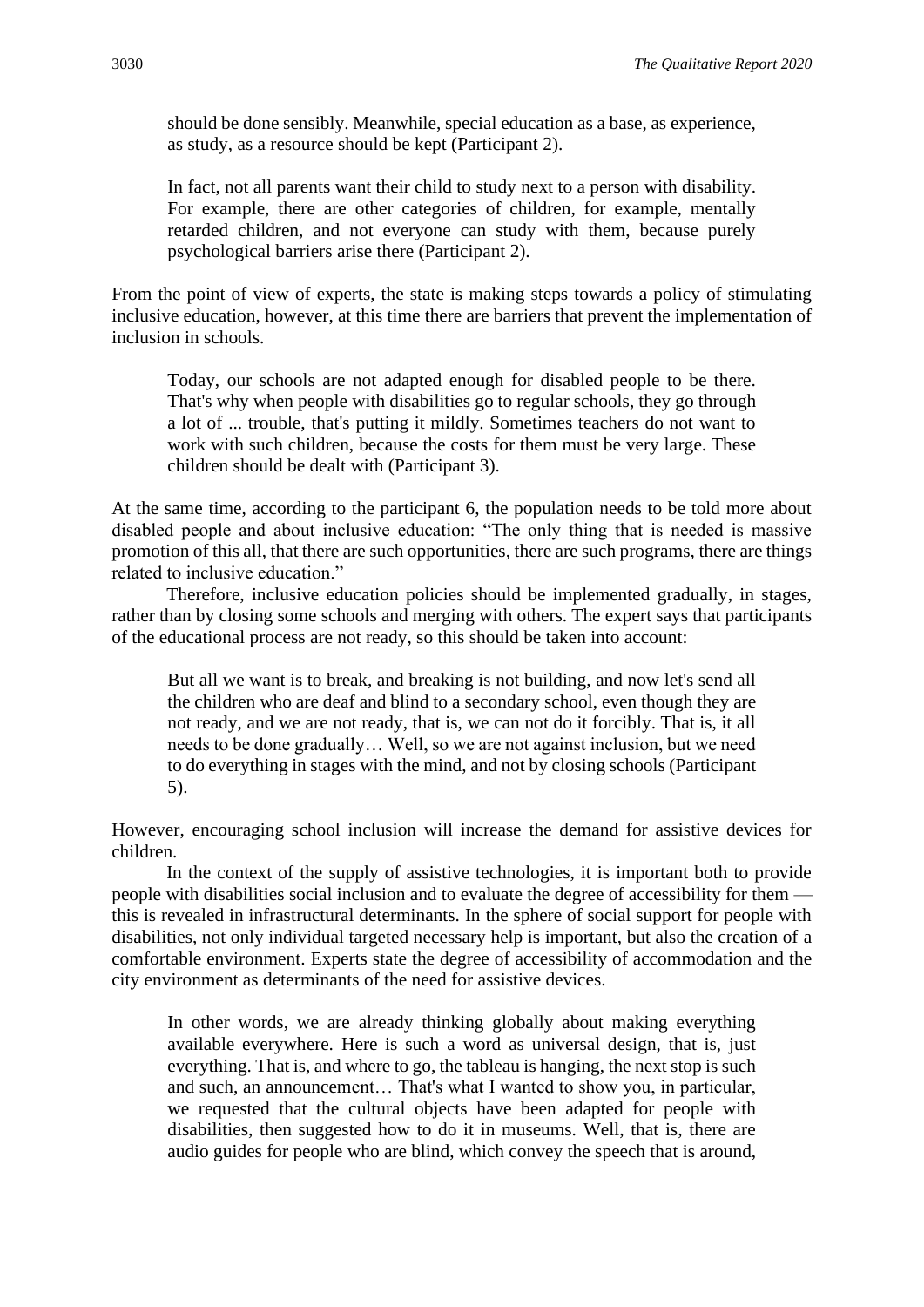should be done sensibly. Meanwhile, special education as a base, as experience, as study, as a resource should be kept (Participant 2).

In fact, not all parents want their child to study next to a person with disability. For example, there are other categories of children, for example, mentally retarded children, and not everyone can study with them, because purely psychological barriers arise there (Participant 2).

From the point of view of experts, the state is making steps towards a policy of stimulating inclusive education, however, at this time there are barriers that prevent the implementation of inclusion in schools.

Today, our schools are not adapted enough for disabled people to be there. That's why when people with disabilities go to regular schools, they go through a lot of ... trouble, that's putting it mildly. Sometimes teachers do not want to work with such children, because the costs for them must be very large. These children should be dealt with (Participant 3).

At the same time, according to the participant 6, the population needs to be told more about disabled people and about inclusive education: "The only thing that is needed is massive promotion of this all, that there are such opportunities, there are such programs, there are things related to inclusive education."

Therefore, inclusive education policies should be implemented gradually, in stages, rather than by closing some schools and merging with others. The expert says that participants of the educational process are not ready, so this should be taken into account:

But all we want is to break, and breaking is not building, and now let's send all the children who are deaf and blind to a secondary school, even though they are not ready, and we are not ready, that is, we can not do it forcibly. That is, it all needs to be done gradually… Well, so we are not against inclusion, but we need to do everything in stages with the mind, and not by closing schools (Participant 5).

However, encouraging school inclusion will increase the demand for assistive devices for children.

In the context of the supply of assistive technologies, it is important both to provide people with disabilities social inclusion and to evaluate the degree of accessibility for them this is revealed in infrastructural determinants. In the sphere of social support for people with disabilities, not only individual targeted necessary help is important, but also the creation of a comfortable environment. Experts state the degree of accessibility of accommodation and the city environment as determinants of the need for assistive devices.

In other words, we are already thinking globally about making everything available everywhere. Here is such a word as universal design, that is, just everything. That is, and where to go, the tableau is hanging, the next stop is such and such, an announcement… That's what I wanted to show you, in particular, we requested that the cultural objects have been adapted for people with disabilities, then suggested how to do it in museums. Well, that is, there are audio guides for people who are blind, which convey the speech that is around,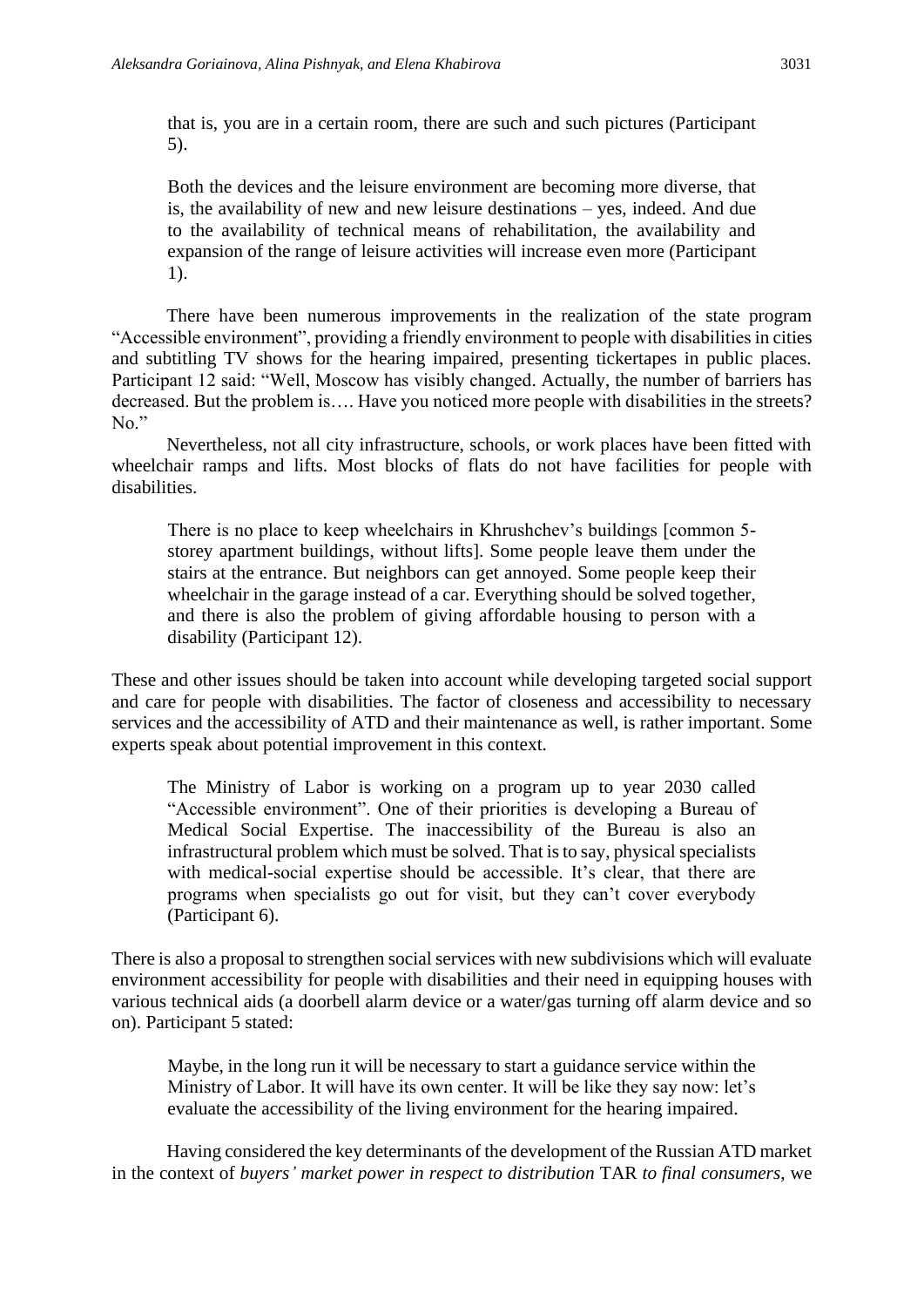that is, you are in a certain room, there are such and such pictures (Participant 5).

Both the devices and the leisure environment are becoming more diverse, that is, the availability of new and new leisure destinations – yes, indeed. And due to the availability of technical means of rehabilitation, the availability and expansion of the range of leisure activities will increase even more (Participant 1).

There have been numerous improvements in the realization of the state program "Accessible environment", providing a friendly environment to people with disabilities in cities and subtitling TV shows for the hearing impaired, presenting tickertapes in public places. Participant 12 said: "Well, Moscow has visibly changed. Actually, the number of barriers has decreased. But the problem is…. Have you noticed more people with disabilities in the streets? No."

Nevertheless, not all city infrastructure, schools, or work places have been fitted with wheelchair ramps and lifts. Most blocks of flats do not have facilities for people with disabilities.

There is no place to keep wheelchairs in Khrushchev's buildings [common 5 storey apartment buildings, without lifts]. Some people leave them under the stairs at the entrance. But neighbors can get annoyed. Some people keep their wheelchair in the garage instead of a car. Everything should be solved together, and there is also the problem of giving affordable housing to person with a disability (Participant 12).

These and other issues should be taken into account while developing targeted social support and care for people with disabilities. The factor of closeness and accessibility to necessary services and the accessibility of ATD and their maintenance as well, is rather important. Some experts speak about potential improvement in this context.

The Ministry of Labor is working on a program up to year 2030 called "Accessible environment". One of their priorities is developing a Bureau of Medical Social Expertise. The inaccessibility of the Bureau is also an infrastructural problem which must be solved. That is to say, physical specialists with medical-social expertise should be accessible. It's clear, that there are programs when specialists go out for visit, but they can't cover everybody (Participant 6).

There is also a proposal to strengthen social services with new subdivisions which will evaluate environment accessibility for people with disabilities and their need in equipping houses with various technical aids (a doorbell alarm device or a water/gas turning off alarm device and so on). Participant 5 stated:

Maybe, in the long run it will be necessary to start a guidance service within the Ministry of Labor. It will have its own center. It will be like they say now: let's evaluate the accessibility of the living environment for the hearing impaired.

Having considered the key determinants of the development of the Russian ATD market in the context of *buyers' market power in respect to distribution* TAR *to final consumers*, we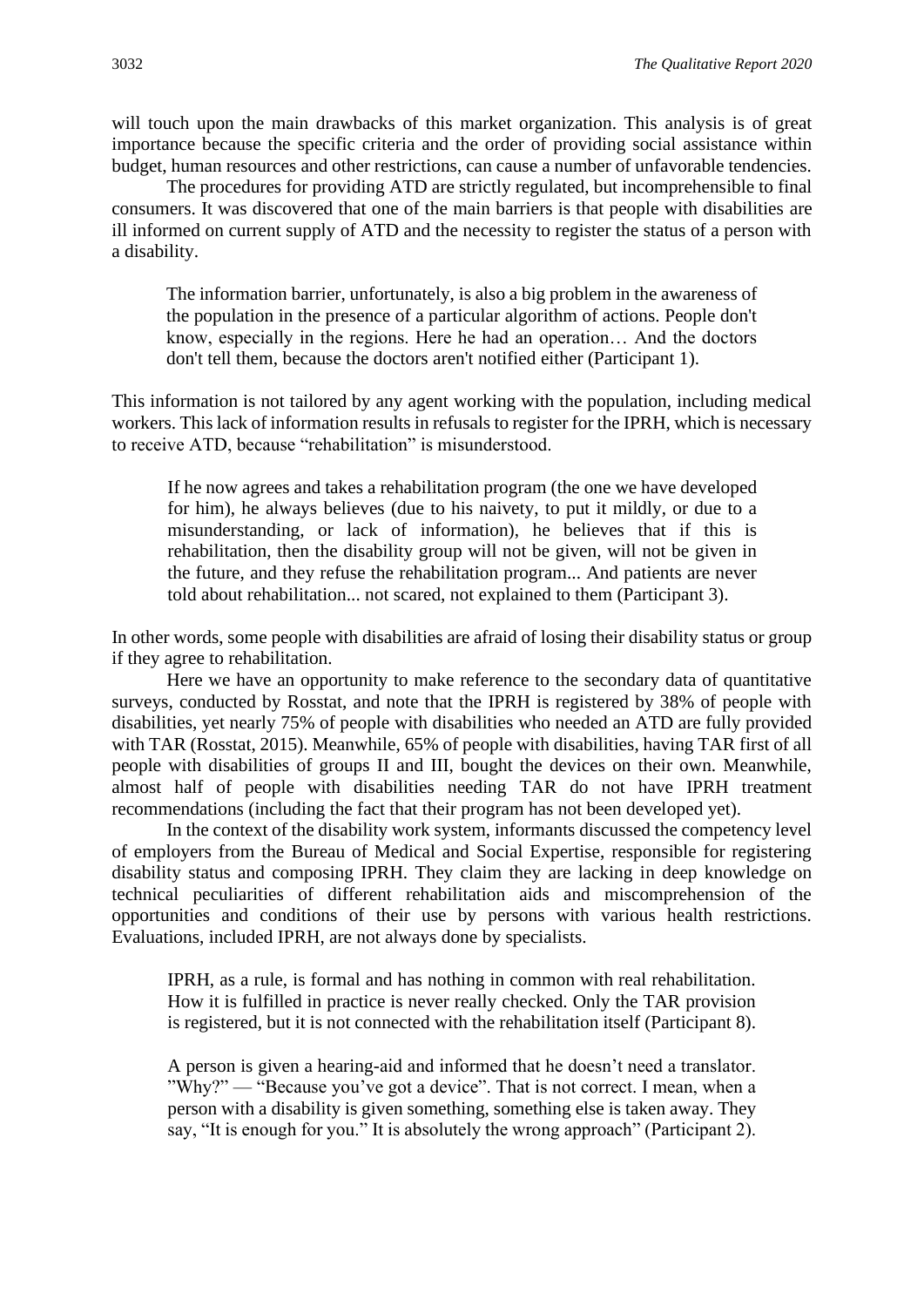will touch upon the main drawbacks of this market organization. This analysis is of great importance because the specific criteria and the order of providing social assistance within budget, human resources and other restrictions, can cause a number of unfavorable tendencies.

The procedures for providing ATD are strictly regulated, but incomprehensible to final consumers. It was discovered that one of the main barriers is that people with disabilities are ill informed on current supply of ATD and the necessity to register the status of a person with a disability.

The information barrier, unfortunately, is also a big problem in the awareness of the population in the presence of a particular algorithm of actions. People don't know, especially in the regions. Here he had an operation… And the doctors don't tell them, because the doctors aren't notified either (Participant 1).

This information is not tailored by any agent working with the population, including medical workers. This lack of information results in refusals to register for the IPRH, which is necessary to receive ATD, because "rehabilitation" is misunderstood.

If he now agrees and takes a rehabilitation program (the one we have developed for him), he always believes (due to his naivety, to put it mildly, or due to a misunderstanding, or lack of information), he believes that if this is rehabilitation, then the disability group will not be given, will not be given in the future, and they refuse the rehabilitation program... And patients are never told about rehabilitation... not scared, not explained to them (Participant 3).

In other words, some people with disabilities are afraid of losing their disability status or group if they agree to rehabilitation.

Here we have an opportunity to make reference to the secondary data of quantitative surveys, conducted by Rosstat, and note that the IPRH is registered by 38% of people with disabilities, yet nearly 75% of people with disabilities who needed an ATD are fully provided with TAR (Rosstat, 2015). Meanwhile, 65% of people with disabilities, having TAR first of all people with disabilities of groups II and III, bought the devices on their own. Meanwhile, almost half of people with disabilities needing TAR do not have IPRH treatment recommendations (including the fact that their program has not been developed yet).

In the context of the disability work system, informants discussed the competency level of employers from the Bureau of Medical and Social Expertise, responsible for registering disability status and composing IPRH. They claim they are lacking in deep knowledge on technical peculiarities of different rehabilitation aids and miscomprehension of the opportunities and conditions of their use by persons with various health restrictions. Evaluations, included IPRH, are not always done by specialists.

IPRH, as a rule, is formal and has nothing in common with real rehabilitation. How it is fulfilled in practice is never really checked. Only the TAR provision is registered, but it is not connected with the rehabilitation itself (Participant 8).

A person is given a hearing-aid and informed that he doesn't need a translator. "Why?" — "Because you've got a device". That is not correct. I mean, when a person with a disability is given something, something else is taken away. They say, "It is enough for you." It is absolutely the wrong approach" (Participant 2).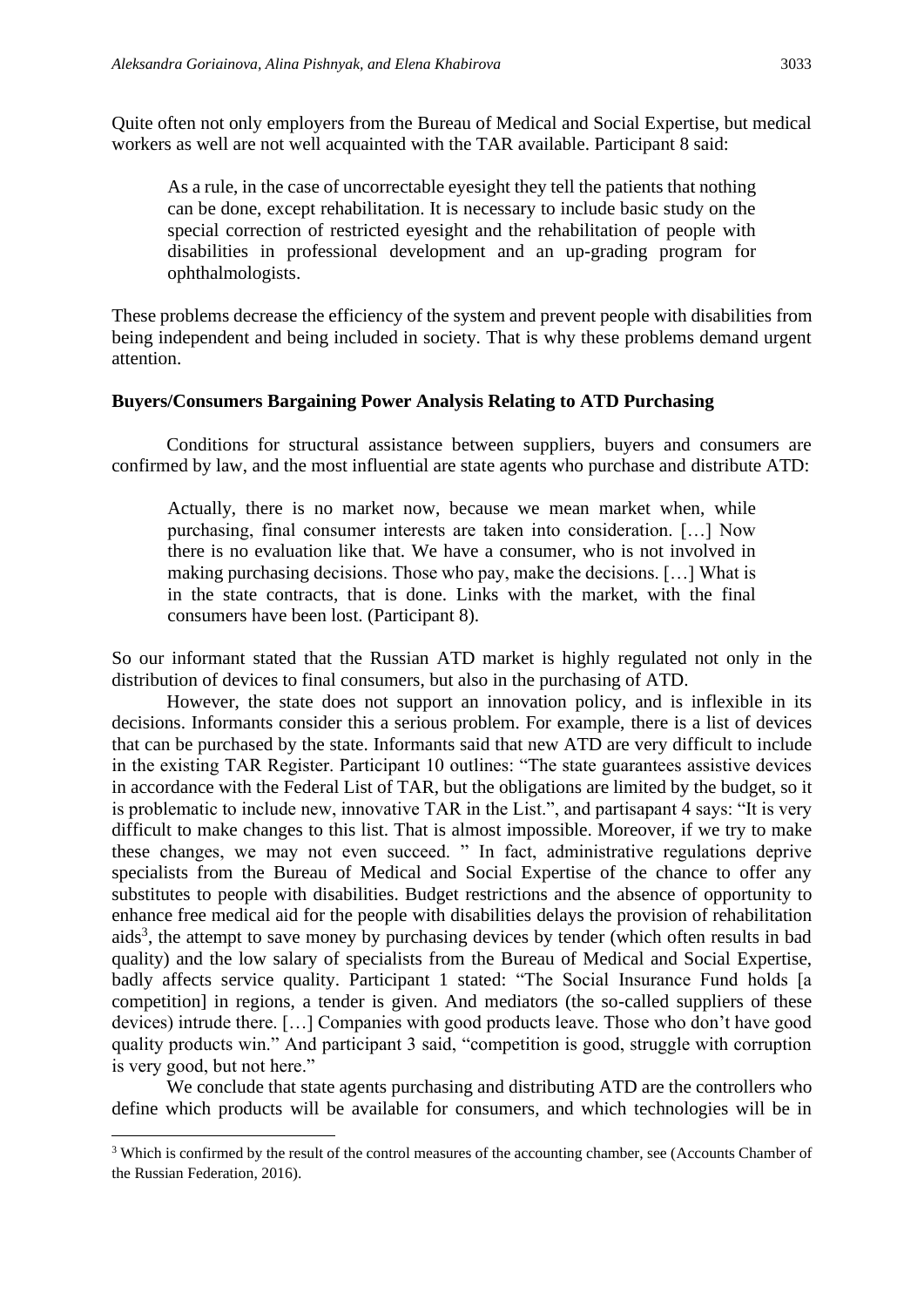Quite often not only employers from the Bureau of Medical and Social Expertise, but medical workers as well are not well acquainted with the TAR available. Participant 8 said:

As a rule, in the case of uncorrectable eyesight they tell the patients that nothing can be done, except rehabilitation. It is necessary to include basic study on the special correction of restricted eyesight and the rehabilitation of people with disabilities in professional development and an up-grading program for ophthalmologists.

These problems decrease the efficiency of the system and prevent people with disabilities from being independent and being included in society. That is why these problems demand urgent attention.

#### **Buyers/Consumers Bargaining Power Analysis Relating to ATD Purchasing**

Conditions for structural assistance between suppliers, buyers and consumers are confirmed by law, and the most influential are state agents who purchase and distribute ATD:

Actually, there is no market now, because we mean market when, while purchasing, final consumer interests are taken into consideration. […] Now there is no evaluation like that. We have a consumer, who is not involved in making purchasing decisions. Those who pay, make the decisions. […] What is in the state contracts, that is done. Links with the market, with the final consumers have been lost. (Participant 8).

So our informant stated that the Russian ATD market is highly regulated not only in the distribution of devices to final consumers, but also in the purchasing of ATD.

However, the state does not support an innovation policy, and is inflexible in its decisions. Informants consider this a serious problem. For example, there is a list of devices that can be purchased by the state. Informants said that new ATD are very difficult to include in the existing TAR Register. Participant 10 outlines: "The state guarantees assistive devices in accordance with the Federal List of TAR, but the obligations are limited by the budget, so it is problematic to include new, innovative TAR in the List.", and partisapant 4 says: "It is very difficult to make changes to this list. That is almost impossible. Moreover, if we try to make these changes, we may not even succeed. " In fact, administrative regulations deprive specialists from the Bureau of Medical and Social Expertise of the chance to offer any substitutes to people with disabilities. Budget restrictions and the absence of opportunity to enhance free medical aid for the people with disabilities delays the provision of rehabilitation  $a$ ids<sup>3</sup>, the attempt to save money by purchasing devices by tender (which often results in bad quality) and the low salary of specialists from the Bureau of Medical and Social Expertise, badly affects service quality. Participant 1 stated: "The Social Insurance Fund holds [a competition] in regions, a tender is given. And mediators (the so-called suppliers of these devices) intrude there. […] Companies with good products leave. Those who don't have good quality products win." And participant 3 said, "competition is good, struggle with corruption is very good, but not here."

We conclude that state agents purchasing and distributing ATD are the controllers who define which products will be available for consumers, and which technologies will be in

<sup>&</sup>lt;sup>3</sup> Which is confirmed by the result of the control measures of the accounting chamber, see (Accounts Chamber of the Russian Federation, 2016).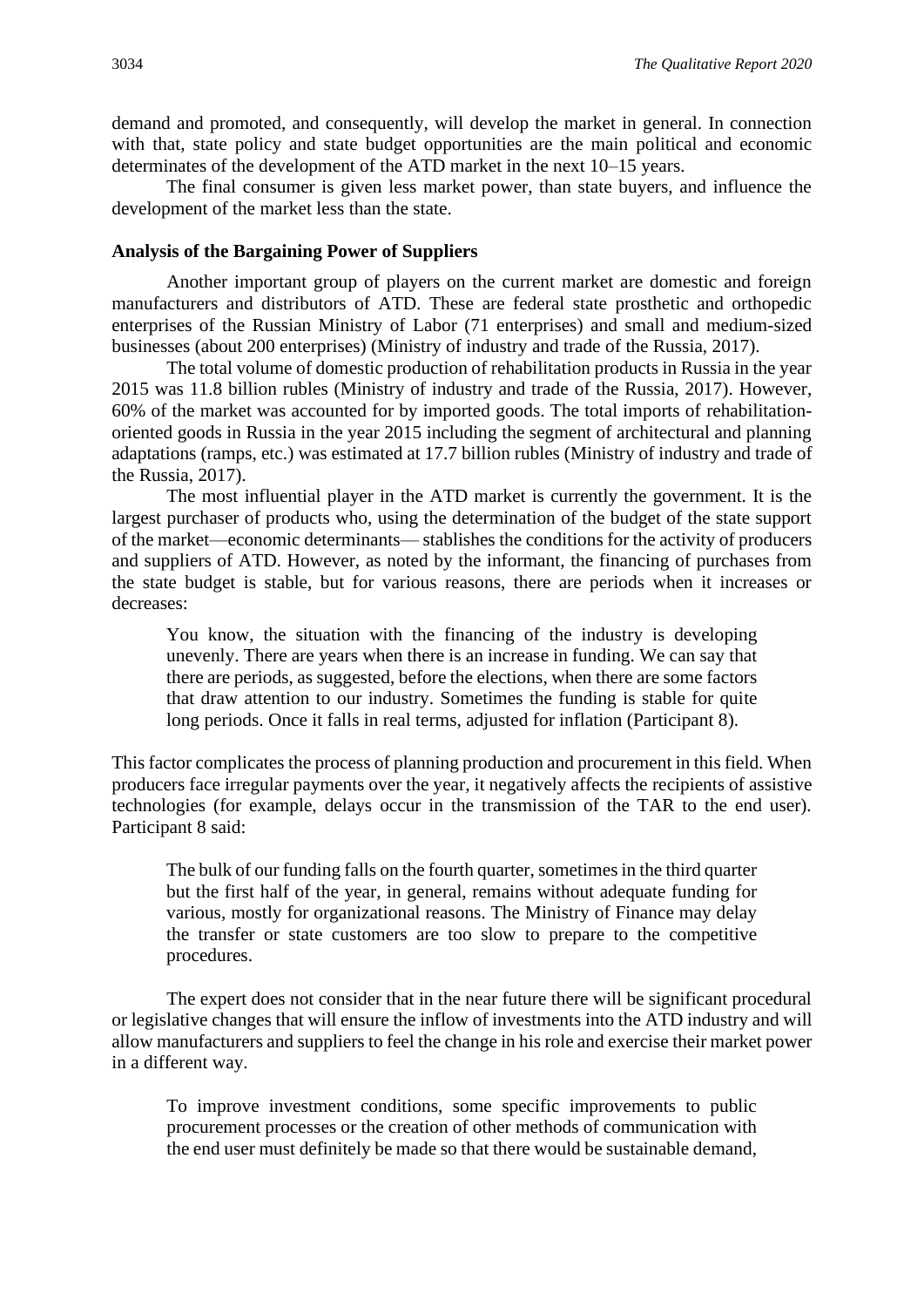demand and promoted, and consequently, will develop the market in general. In connection with that, state policy and state budget opportunities are the main political and economic determinates of the development of the ATD market in the next 10–15 years.

The final consumer is given less market power, than state buyers, and influence the development of the market less than the state.

#### **Analysis of the Bargaining Power of Suppliers**

Another important group of players on the current market are domestic and foreign manufacturers and distributors of ATD. These are federal state prosthetic and orthopedic enterprises of the Russian Ministry of Labor (71 enterprises) and small and medium-sized businesses (about 200 enterprises) (Ministry of industry and trade of the Russia, 2017).

The total volume of domestic production of rehabilitation products in Russia in the year 2015 was 11.8 billion rubles (Ministry of industry and trade of the Russia, 2017). However, 60% of the market was accounted for by imported goods. The total imports of rehabilitationoriented goods in Russia in the year 2015 including the segment of architectural and planning adaptations (ramps, etc.) was estimated at 17.7 billion rubles (Ministry of industry and trade of the Russia, 2017).

The most influential player in the ATD market is currently the government. It is the largest purchaser of products who, using the determination of the budget of the state support of the market—economic determinants— stablishes the conditions for the activity of producers and suppliers of ATD. However, as noted by the informant, the financing of purchases from the state budget is stable, but for various reasons, there are periods when it increases or decreases:

You know, the situation with the financing of the industry is developing unevenly. There are years when there is an increase in funding. We can say that there are periods, as suggested, before the elections, when there are some factors that draw attention to our industry. Sometimes the funding is stable for quite long periods. Once it falls in real terms, adjusted for inflation (Participant 8).

This factor complicates the process of planning production and procurement in this field. When producers face irregular payments over the year, it negatively affects the recipients of assistive technologies (for example, delays occur in the transmission of the TAR to the end user). Participant 8 said:

The bulk of our funding falls on the fourth quarter, sometimes in the third quarter but the first half of the year, in general, remains without adequate funding for various, mostly for organizational reasons. The Ministry of Finance may delay the transfer or state customers are too slow to prepare to the competitive procedures.

The expert does not consider that in the near future there will be significant procedural or legislative changes that will ensure the inflow of investments into the ATD industry and will allow manufacturers and suppliers to feel the change in his role and exercise their market power in a different way.

To improve investment conditions, some specific improvements to public procurement processes or the creation of other methods of communication with the end user must definitely be made so that there would be sustainable demand,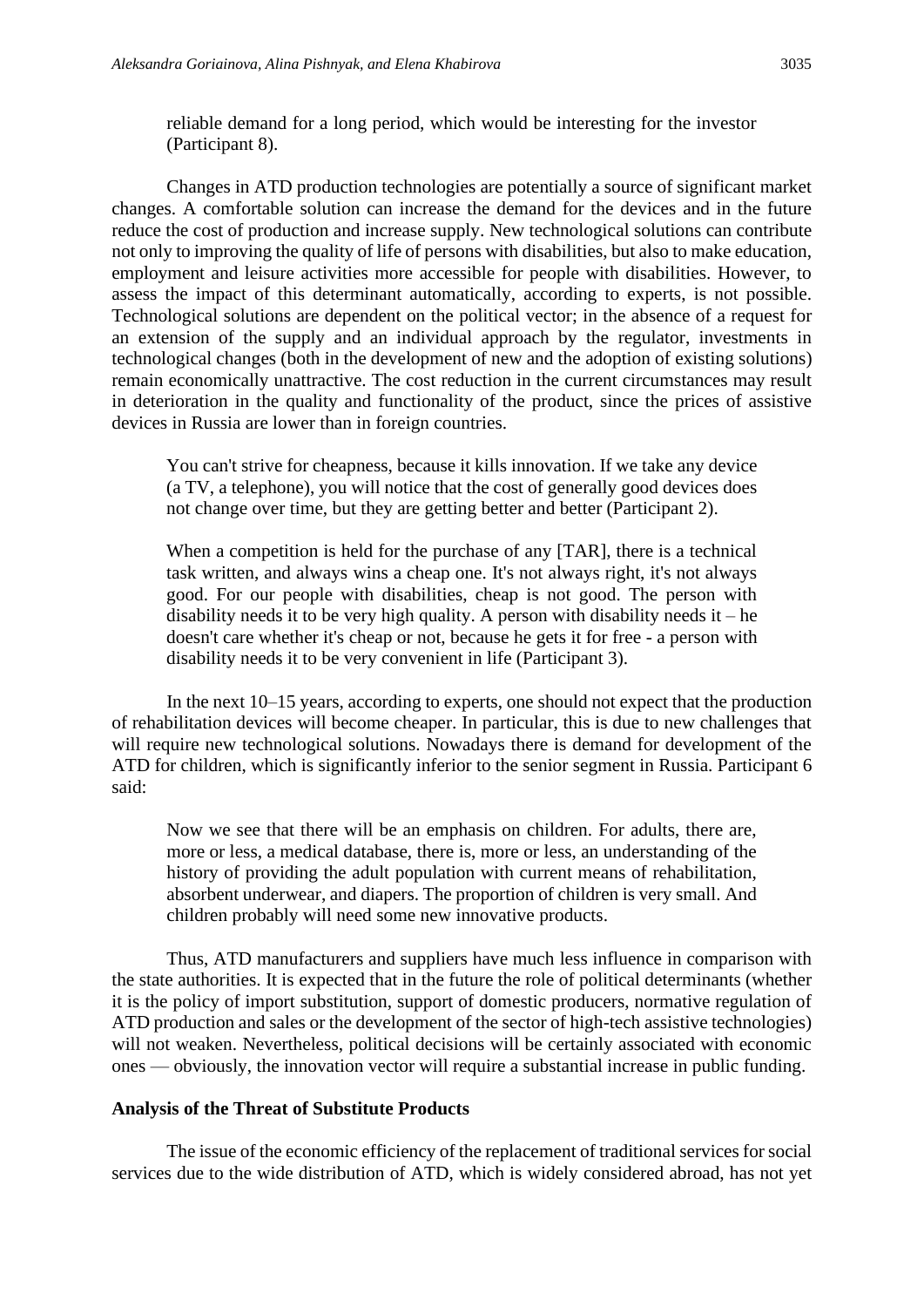reliable demand for a long period, which would be interesting for the investor (Participant 8).

Changes in ATD production technologies are potentially a source of significant market changes. A comfortable solution can increase the demand for the devices and in the future reduce the cost of production and increase supply. New technological solutions can contribute not only to improving the quality of life of persons with disabilities, but also to make education, employment and leisure activities more accessible for people with disabilities. However, to assess the impact of this determinant automatically, according to experts, is not possible. Technological solutions are dependent on the political vector; in the absence of a request for an extension of the supply and an individual approach by the regulator, investments in technological changes (both in the development of new and the adoption of existing solutions) remain economically unattractive. The cost reduction in the current circumstances may result in deterioration in the quality and functionality of the product, since the prices of assistive devices in Russia are lower than in foreign countries.

You can't strive for cheapness, because it kills innovation. If we take any device (a TV, a telephone), you will notice that the cost of generally good devices does not change over time, but they are getting better and better (Participant 2).

When a competition is held for the purchase of any [TAR], there is a technical task written, and always wins a cheap one. It's not always right, it's not always good. For our people with disabilities, cheap is not good. The person with disability needs it to be very high quality. A person with disability needs it – he doesn't care whether it's cheap or not, because he gets it for free - a person with disability needs it to be very convenient in life (Participant 3).

In the next 10–15 years, according to experts, one should not expect that the production of rehabilitation devices will become cheaper. In particular, this is due to new challenges that will require new technological solutions. Nowadays there is demand for development of the ATD for children, which is significantly inferior to the senior segment in Russia. Participant 6 said:

Now we see that there will be an emphasis on children. For adults, there are, more or less, a medical database, there is, more or less, an understanding of the history of providing the adult population with current means of rehabilitation, absorbent underwear, and diapers. The proportion of children is very small. And children probably will need some new innovative products.

Thus, ATD manufacturers and suppliers have much less influence in comparison with the state authorities. It is expected that in the future the role of political determinants (whether it is the policy of import substitution, support of domestic producers, normative regulation of ATD production and sales or the development of the sector of high-tech assistive technologies) will not weaken. Nevertheless, political decisions will be certainly associated with economic ones — obviously, the innovation vector will require a substantial increase in public funding.

#### **Analysis of the Threat of Substitute Products**

The issue of the economic efficiency of the replacement of traditional services for social services due to the wide distribution of ATD, which is widely considered abroad, has not yet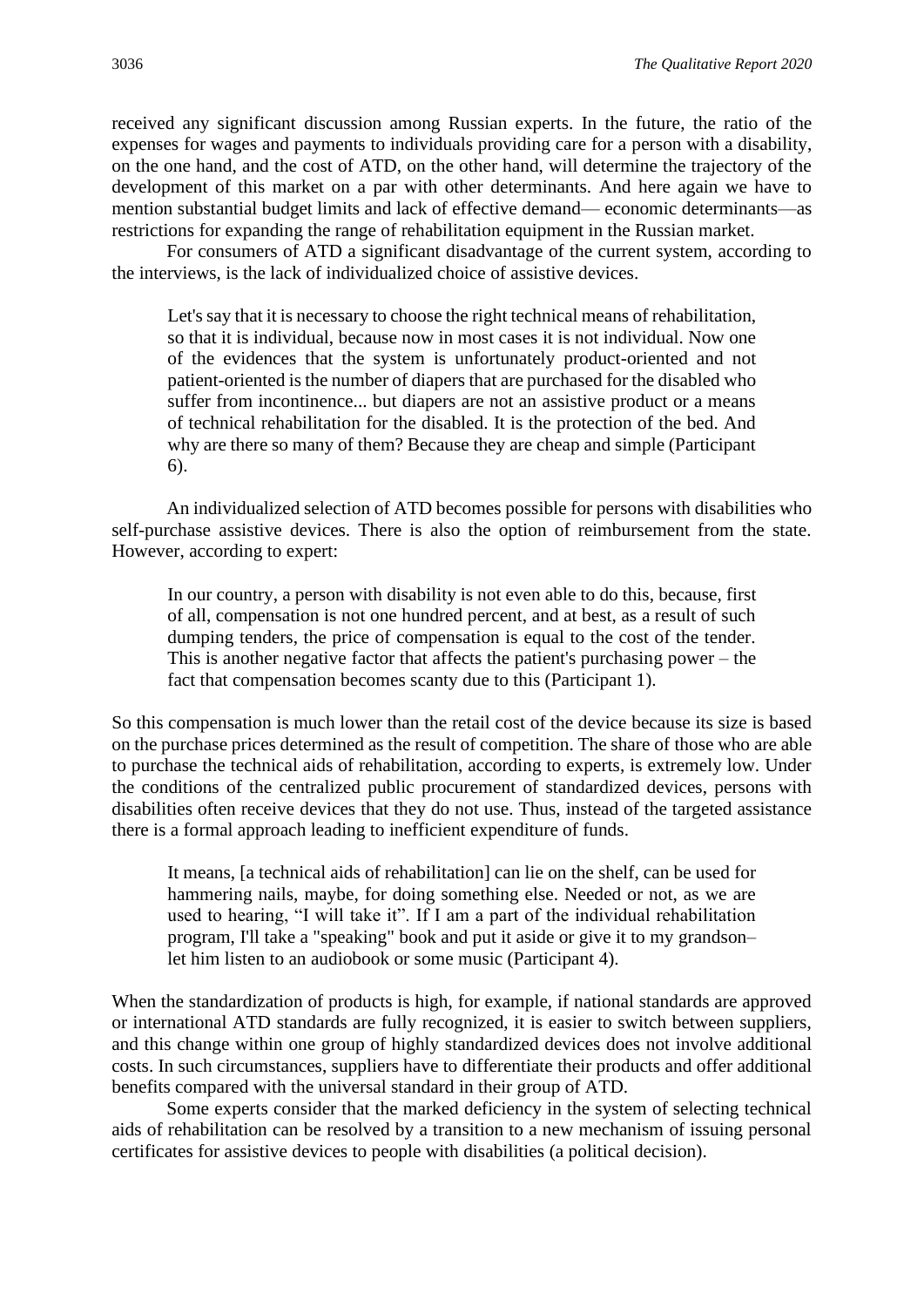received any significant discussion among Russian experts. In the future, the ratio of the expenses for wages and payments to individuals providing care for a person with a disability, on the one hand, and the cost of ATD, on the other hand, will determine the trajectory of the development of this market on a par with other determinants. And here again we have to mention substantial budget limits and lack of effective demand— economic determinants—as restrictions for expanding the range of rehabilitation equipment in the Russian market.

For consumers of ATD a significant disadvantage of the current system, according to the interviews, is the lack of individualized choice of assistive devices.

Let's say that it is necessary to choose the right technical means of rehabilitation, so that it is individual, because now in most cases it is not individual. Now one of the evidences that the system is unfortunately product-oriented and not patient-oriented is the number of diapers that are purchased for the disabled who suffer from incontinence... but diapers are not an assistive product or a means of technical rehabilitation for the disabled. It is the protection of the bed. And why are there so many of them? Because they are cheap and simple (Participant 6).

An individualized selection of ATD becomes possible for persons with disabilities who self-purchase assistive devices. There is also the option of reimbursement from the state. However, according to expert:

In our country, a person with disability is not even able to do this, because, first of all, compensation is not one hundred percent, and at best, as a result of such dumping tenders, the price of compensation is equal to the cost of the tender. This is another negative factor that affects the patient's purchasing power – the fact that compensation becomes scanty due to this (Participant 1).

So this compensation is much lower than the retail cost of the device because its size is based on the purchase prices determined as the result of competition. The share of those who are able to purchase the technical aids of rehabilitation, according to experts, is extremely low. Under the conditions of the centralized public procurement of standardized devices, persons with disabilities often receive devices that they do not use. Thus, instead of the targeted assistance there is a formal approach leading to inefficient expenditure of funds.

It means, [a technical aids of rehabilitation] can lie on the shelf, can be used for hammering nails, maybe, for doing something else. Needed or not, as we are used to hearing, "I will take it". If I am a part of the individual rehabilitation program, I'll take a "speaking" book and put it aside or give it to my grandson– let him listen to an audiobook or some music (Participant 4).

When the standardization of products is high, for example, if national standards are approved or international ATD standards are fully recognized, it is easier to switch between suppliers, and this change within one group of highly standardized devices does not involve additional costs. In such circumstances, suppliers have to differentiate their products and offer additional benefits compared with the universal standard in their group of ATD.

Some experts consider that the marked deficiency in the system of selecting technical aids of rehabilitation can be resolved by a transition to a new mechanism of issuing personal certificates for assistive devices to people with disabilities (a political decision).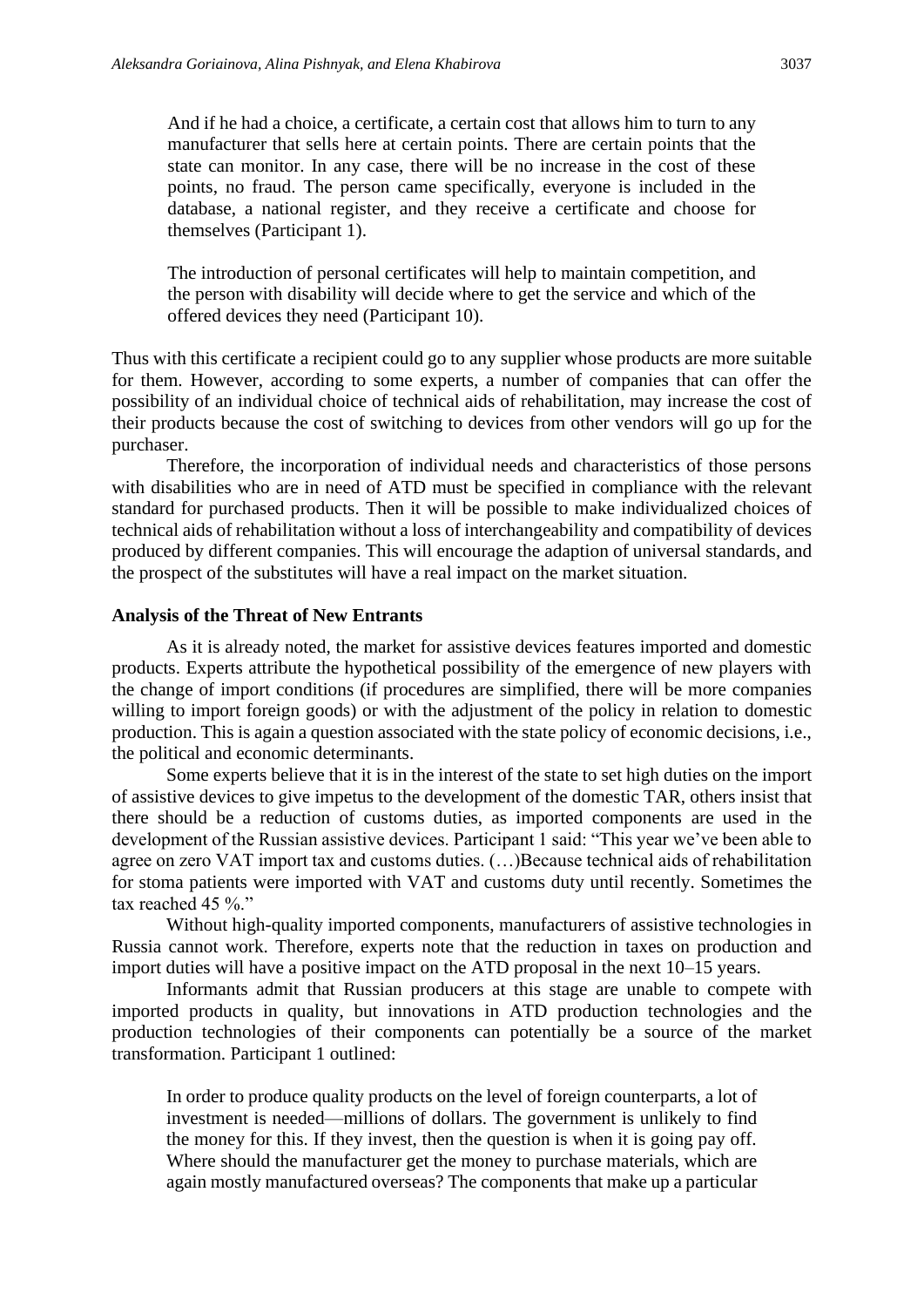And if he had a choice, a certificate, a certain cost that allows him to turn to any manufacturer that sells here at certain points. There are certain points that the state can monitor. In any case, there will be no increase in the cost of these points, no fraud. The person came specifically, everyone is included in the database, a national register, and they receive a certificate and choose for themselves (Participant 1).

The introduction of personal certificates will help to maintain competition, and the person with disability will decide where to get the service and which of the offered devices they need (Participant 10).

Thus with this certificate a recipient could go to any supplier whose products are more suitable for them. However, according to some experts, a number of companies that can offer the possibility of an individual choice of technical aids of rehabilitation, may increase the cost of their products because the cost of switching to devices from other vendors will go up for the purchaser.

Therefore, the incorporation of individual needs and characteristics of those persons with disabilities who are in need of ATD must be specified in compliance with the relevant standard for purchased products. Then it will be possible to make individualized choices of technical aids of rehabilitation without a loss of interchangeability and compatibility of devices produced by different companies. This will encourage the adaption of universal standards, and the prospect of the substitutes will have a real impact on the market situation.

#### **Analysis of the Threat of New Entrants**

As it is already noted, the market for assistive devices features imported and domestic products. Experts attribute the hypothetical possibility of the emergence of new players with the change of import conditions (if procedures are simplified, there will be more companies willing to import foreign goods) or with the adjustment of the policy in relation to domestic production. This is again a question associated with the state policy of economic decisions, i.e., the political and economic determinants.

Some experts believe that it is in the interest of the state to set high duties on the import of assistive devices to give impetus to the development of the domestic TAR, others insist that there should be a reduction of customs duties, as imported components are used in the development of the Russian assistive devices. Participant 1 said: "This year we've been able to agree on zero VAT import tax and customs duties. (…)Because technical aids of rehabilitation for stoma patients were imported with VAT and customs duty until recently. Sometimes the tax reached 45 %."

Without high-quality imported components, manufacturers of assistive technologies in Russia cannot work. Therefore, experts note that the reduction in taxes on production and import duties will have a positive impact on the ATD proposal in the next 10–15 years.

Informants admit that Russian producers at this stage are unable to compete with imported products in quality, but innovations in ATD production technologies and the production technologies of their components can potentially be a source of the market transformation. Participant 1 outlined:

In order to produce quality products on the level of foreign counterparts, a lot of investment is needed—millions of dollars. The government is unlikely to find the money for this. If they invest, then the question is when it is going pay off. Where should the manufacturer get the money to purchase materials, which are again mostly manufactured overseas? The components that make up a particular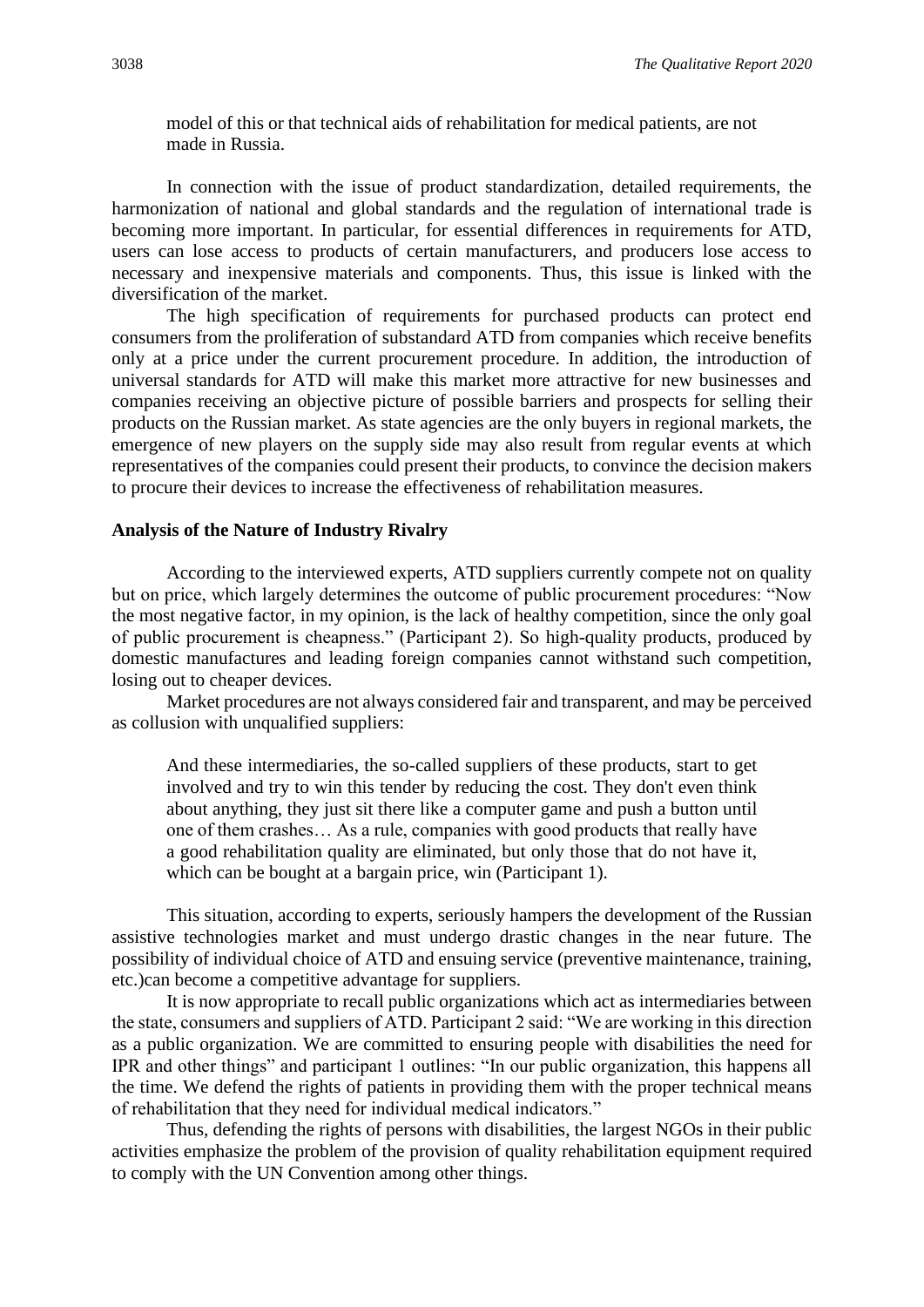model of this or that technical aids of rehabilitation for medical patients, are not made in Russia.

In connection with the issue of product standardization, detailed requirements, the harmonization of national and global standards and the regulation of international trade is becoming more important. In particular, for essential differences in requirements for ATD, users can lose access to products of certain manufacturers, and producers lose access to necessary and inexpensive materials and components. Thus, this issue is linked with the diversification of the market.

The high specification of requirements for purchased products can protect end consumers from the proliferation of substandard ATD from companies which receive benefits only at a price under the current procurement procedure. In addition, the introduction of universal standards for ATD will make this market more attractive for new businesses and companies receiving an objective picture of possible barriers and prospects for selling their products on the Russian market. As state agencies are the only buyers in regional markets, the emergence of new players on the supply side may also result from regular events at which representatives of the companies could present their products, to convince the decision makers to procure their devices to increase the effectiveness of rehabilitation measures.

#### **Analysis of the Nature of Industry Rivalry**

According to the interviewed experts, ATD suppliers currently compete not on quality but on price, which largely determines the outcome of public procurement procedures: "Now the most negative factor, in my opinion, is the lack of healthy competition, since the only goal of public procurement is cheapness." (Participant 2). So high-quality products, produced by domestic manufactures and leading foreign companies cannot withstand such competition, losing out to cheaper devices.

Market procedures are not always considered fair and transparent, and may be perceived as collusion with unqualified suppliers:

And these intermediaries, the so-called suppliers of these products, start to get involved and try to win this tender by reducing the cost. They don't even think about anything, they just sit there like a computer game and push a button until one of them crashes… As a rule, companies with good products that really have a good rehabilitation quality are eliminated, but only those that do not have it, which can be bought at a bargain price, win (Participant 1).

This situation, according to experts, seriously hampers the development of the Russian assistive technologies market and must undergo drastic changes in the near future. The possibility of individual choice of ATD and ensuing service (preventive maintenance, training, etc.)can become a competitive advantage for suppliers.

It is now appropriate to recall public organizations which act as intermediaries between the state, consumers and suppliers of ATD. Participant 2 said: "We are working in this direction as a public organization. We are committed to ensuring people with disabilities the need for IPR and other things" and participant 1 outlines: "In our public organization, this happens all the time. We defend the rights of patients in providing them with the proper technical means of rehabilitation that they need for individual medical indicators."

Thus, defending the rights of persons with disabilities, the largest NGOs in their public activities emphasize the problem of the provision of quality rehabilitation equipment required to comply with the UN Convention among other things.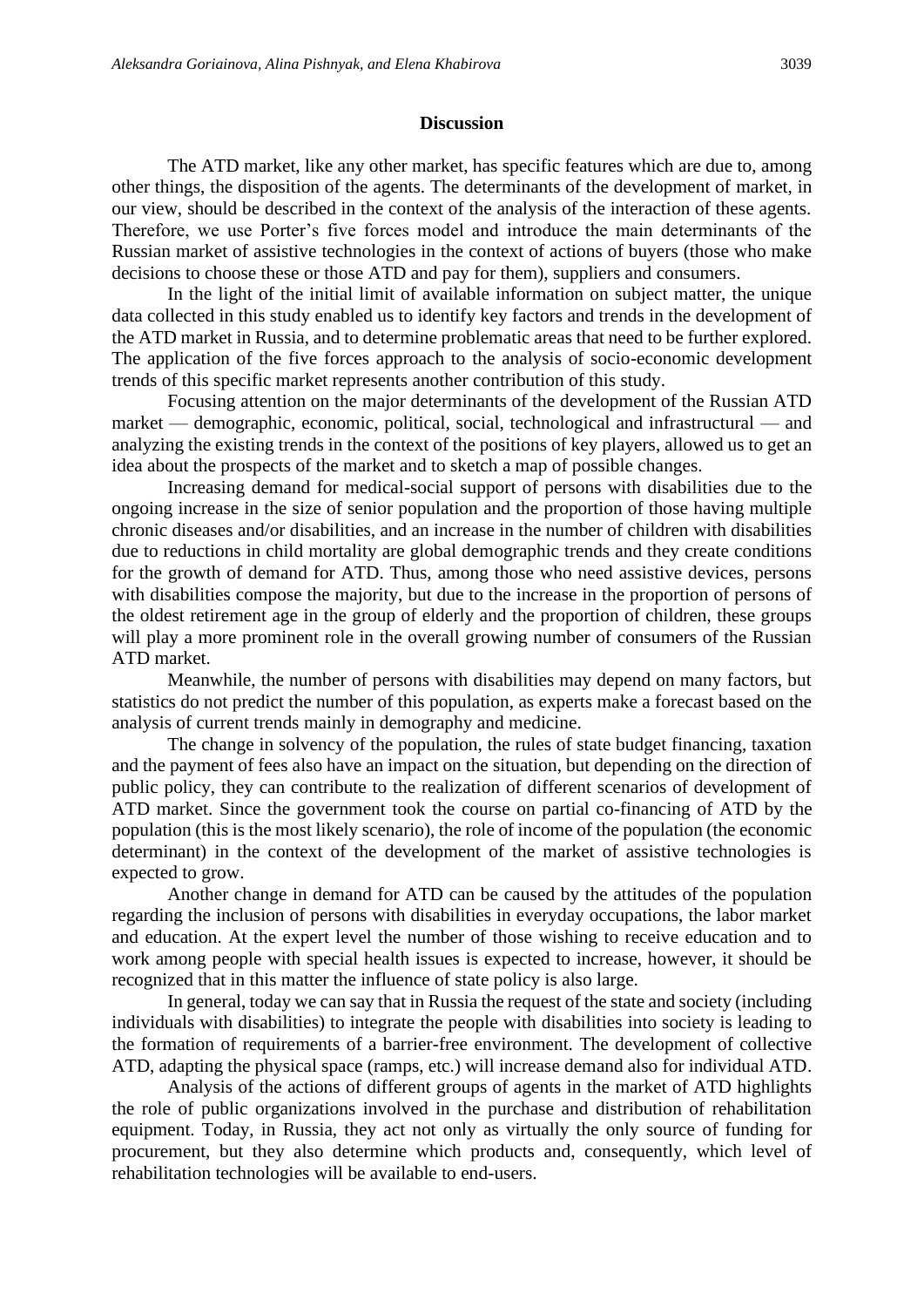#### **Discussion**

The ATD market, like any other market, has specific features which are due to, among other things, the disposition of the agents. The determinants of the development of market, in our view, should be described in the context of the analysis of the interaction of these agents. Therefore, we use Porter's five forces model and introduce the main determinants of the Russian market of assistive technologies in the context of actions of buyers (those who make decisions to choose these or those ATD and pay for them), suppliers and consumers.

In the light of the initial limit of available information on subject matter, the unique data collected in this study enabled us to identify key factors and trends in the development of the ATD market in Russia, and to determine problematic areas that need to be further explored. The application of the five forces approach to the analysis of socio-economic development trends of this specific market represents another contribution of this study.

Focusing attention on the major determinants of the development of the Russian ATD market — demographic, economic, political, social, technological and infrastructural — and analyzing the existing trends in the context of the positions of key players, allowed us to get an idea about the prospects of the market and to sketch a map of possible changes.

Increasing demand for medical-social support of persons with disabilities due to the ongoing increase in the size of senior population and the proportion of those having multiple chronic diseases and/or disabilities, and an increase in the number of children with disabilities due to reductions in child mortality are global demographic trends and they create conditions for the growth of demand for ATD. Thus, among those who need assistive devices, persons with disabilities compose the majority, but due to the increase in the proportion of persons of the oldest retirement age in the group of elderly and the proportion of children, these groups will play a more prominent role in the overall growing number of consumers of the Russian ATD market.

Meanwhile, the number of persons with disabilities may depend on many factors, but statistics do not predict the number of this population, as experts make a forecast based on the analysis of current trends mainly in demography and medicine.

The change in solvency of the population, the rules of state budget financing, taxation and the payment of fees also have an impact on the situation, but depending on the direction of public policy, they can contribute to the realization of different scenarios of development of ATD market. Since the government took the course on partial co-financing of ATD by the population (this is the most likely scenario), the role of income of the population (the economic determinant) in the context of the development of the market of assistive technologies is expected to grow.

Another change in demand for ATD can be caused by the attitudes of the population regarding the inclusion of persons with disabilities in everyday occupations, the labor market and education. At the expert level the number of those wishing to receive education and to work among people with special health issues is expected to increase, however, it should be recognized that in this matter the influence of state policy is also large.

In general, today we can say that in Russia the request of the state and society (including individuals with disabilities) to integrate the people with disabilities into society is leading to the formation of requirements of a barrier-free environment. The development of collective ATD, adapting the physical space (ramps, etc.) will increase demand also for individual ATD.

Analysis of the actions of different groups of agents in the market of ATD highlights the role of public organizations involved in the purchase and distribution of rehabilitation equipment. Today, in Russia, they act not only as virtually the only source of funding for procurement, but they also determine which products and, consequently, which level of rehabilitation technologies will be available to end-users.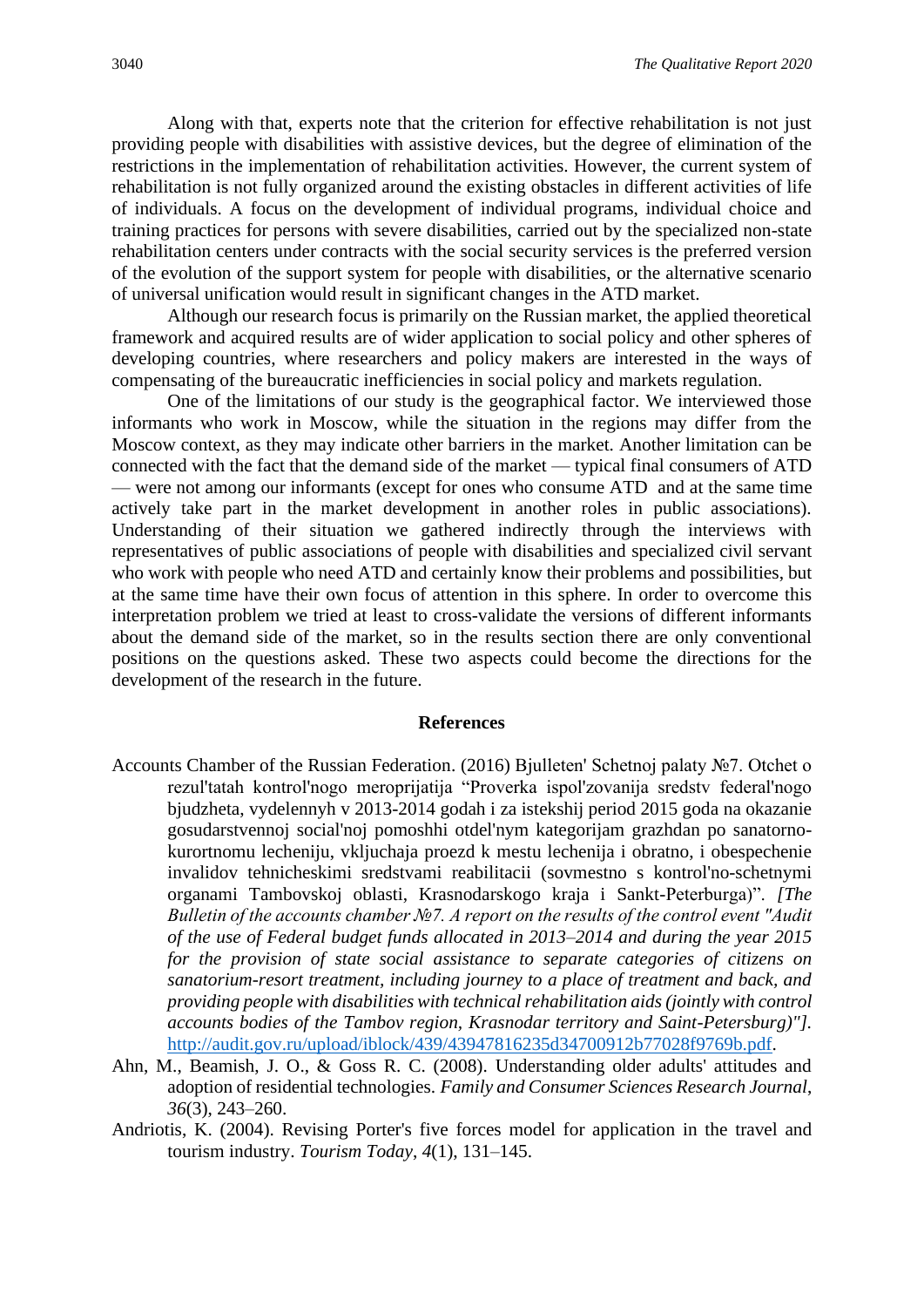Along with that, experts note that the criterion for effective rehabilitation is not just providing people with disabilities with assistive devices, but the degree of elimination of the restrictions in the implementation of rehabilitation activities. However, the current system of rehabilitation is not fully organized around the existing obstacles in different activities of life of individuals. A focus on the development of individual programs, individual choice and training practices for persons with severe disabilities, carried out by the specialized non-state rehabilitation centers under contracts with the social security services is the preferred version of the evolution of the support system for people with disabilities, or the alternative scenario of universal unification would result in significant changes in the ATD market.

Although our research focus is primarily on the Russian market, the applied theoretical framework and acquired results are of wider application to social policy and other spheres of developing countries, where researchers and policy makers are interested in the ways of compensating of the bureaucratic inefficiencies in social policy and markets regulation.

One of the limitations of our study is the geographical factor. We interviewed those informants who work in Moscow, while the situation in the regions may differ from the Moscow context, as they may indicate other barriers in the market. Another limitation can be connected with the fact that the demand side of the market — typical final consumers of ATD — were not among our informants (except for ones who consume ATD and at the same time actively take part in the market development in another roles in public associations). Understanding of their situation we gathered indirectly through the interviews with representatives of public associations of people with disabilities and specialized civil servant who work with people who need ATD and certainly know their problems and possibilities, but at the same time have their own focus of attention in this sphere. In order to overcome this interpretation problem we tried at least to cross-validate the versions of different informants about the demand side of the market, so in the results section there are only conventional positions on the questions asked. These two aspects could become the directions for the development of the research in the future.

#### **References**

- Accounts Chamber of the Russian Federation. (2016) Bjulleten' Schetnoj palaty №7. Otchet o rezul'tatah kontrol'nogo meroprijatija "Proverka ispol'zovanija sredstv federal'nogo bjudzheta, vydelennyh v 2013-2014 godah i za istekshij period 2015 goda na okazanie gosudarstvennoj social'noj pomoshhi otdel'nym kategorijam grazhdan po sanatornokurortnomu lecheniju, vkljuchaja proezd k mestu lechenija i obratno, i obespechenie invalidov tehnicheskimi sredstvami reabilitacii (sovmestno s kontrol'no-schetnymi organami Tambovskoj oblasti, Krasnodarskogo kraja i Sankt-Peterburga)". *[The Bulletin of the accounts chamber №7. A report on the results of the control event "Audit of the use of Federal budget funds allocated in 2013–2014 and during the year 2015 for the provision of state social assistance to separate categories of citizens on sanatorium-resort treatment, including journey to a place of treatment and back, and providing people with disabilities with technical rehabilitation aids (jointly with control accounts bodies of the Tambov region, Krasnodar territory and Saint-Petersburg)"].*  [http://audit.gov.ru/upload/iblock/439/43947816235d34700912b77028f9769b.pdf.](http://audit.gov.ru/upload/iblock/439/43947816235d34700912b77028f9769b.pdf)
- Ahn, M., Beamish, J. O., & Goss R. C. (2008). Understanding older adults' attitudes and adoption of residential technologies. *Family and Consumer Sciences Research Journal*, *36*(3), 243–260.
- Andriotis, K. (2004). Revising Porter's five forces model for application in the travel and tourism industry. *Tourism Today*, *4*(1), 131–145.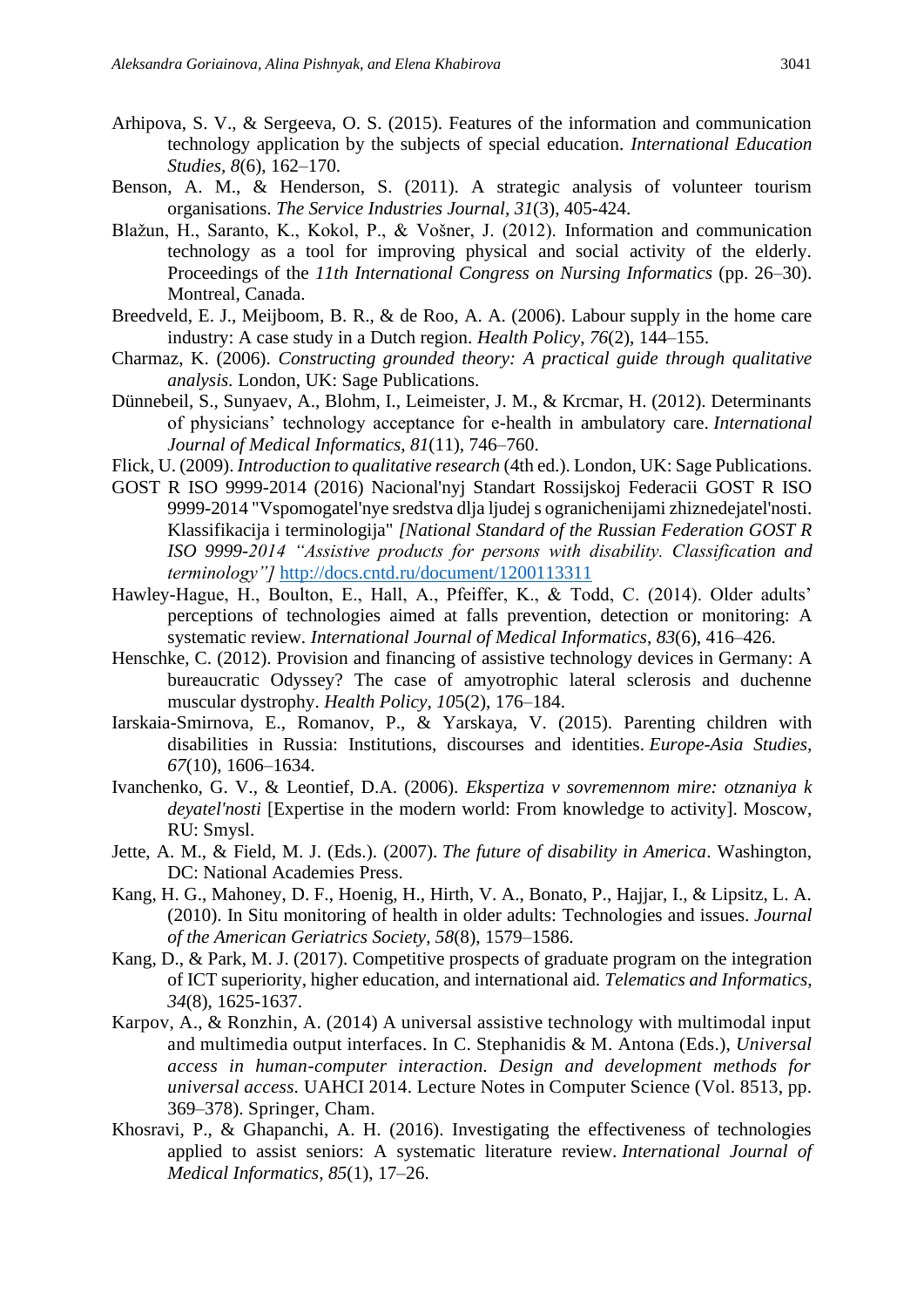- Arhipova, S. V., & Sergeeva, O. S. (2015). Features of the information and communication technology application by the subjects of special education. *International Education Studies, 8*(6), 162–170.
- Benson, A. M., & Henderson, S. (2011). A strategic analysis of volunteer tourism organisations. *The Service Industries Journal*, *31*(3), 405-424.
- Blažun, H., Saranto, K., Kokol, P., & Vošner, J. (2012). Information and communication technology as a tool for improving physical and social activity of the elderly. Proceedings of the *11th International Congress on Nursing Informatics* (pp. 26–30). Montreal, Canada.
- Breedveld, E. J., Meijboom, B. R., & de Roo, A. A. (2006). Labour supply in the home care industry: A case study in a Dutch region. *Health Policy*, *76*(2), 144–155.
- Charmaz, K. (2006). *Constructing grounded theory: A practical guide through qualitative analysis.* London, UK: Sage Publications.
- Dünnebeil, S., Sunyaev, A., Blohm, I., Leimeister, J. M., & Krcmar, H. (2012). Determinants of physicians' technology acceptance for e-health in ambulatory care. *International Journal of Medical Informatics*, *81*(11), 746–760.
- Flick, U. (2009). *Introduction to qualitative research* (4th ed.). London, UK: Sage Publications.
- GOST R ISO 9999-2014 (2016) Nacional'nyj Standart Rossijskoj Federacii GOST R ISO 9999-2014 "Vspomogatel'nye sredstva dlja ljudej s ogranichenijami zhiznedejatel'nosti. Klassifikacija i terminologija" *[National Standard of the Russian Federation GOST R ISO 9999-2014 "Assistive products for persons with disability. Classification and terminology"]* <http://docs.cntd.ru/document/1200113311>
- Hawley-Hague, H., Boulton, E., Hall, A., Pfeiffer, K., & Todd, C. (2014). Older adults' perceptions of technologies aimed at falls prevention, detection or monitoring: A systematic review. *International Journal of Medical Informatics*, *83*(6), 416–426.
- Henschke, C. (2012). Provision and financing of assistive technology devices in Germany: A bureaucratic Odyssey? The case of amyotrophic lateral sclerosis and duchenne muscular dystrophy. *Health Policy*, *10*5(2), 176–184.
- Iarskaia-Smirnova, E., Romanov, P., & Yarskaya, V. (2015). Parenting children with disabilities in Russia: Institutions, discourses and identities. *Europe-Asia Studies, 67*(10), 1606–1634.
- Ivanchenko, G. V., & Leontief, D.A. (2006). *Ekspertiza v sovremennom mire: otznaniya k deyatel'nosti* [Expertise in the modern world: From knowledge to activity]. Moscow, RU: Smysl.
- Jette, A. M., & Field, M. J. (Eds.). (2007). *The future of disability in America*. Washington, DC: National Academies Press.
- Kang, H. G., Mahoney, D. F., Hoenig, H., Hirth, V. A., Bonato, P., Hajjar, I., & Lipsitz, L. A. (2010). In Situ monitoring of health in older adults: Technologies and issues. *Journal of the American Geriatrics Society*, *58*(8), 1579–1586.
- Kang, D., & Park, M. J. (2017). Competitive prospects of graduate program on the integration of ICT superiority, higher education, and international aid. *Telematics and Informatics*, *34*(8), 1625-1637.
- Karpov, A., & Ronzhin, A. (2014) A universal assistive technology with multimodal input and multimedia output interfaces. In C. Stephanidis & M. Antona (Eds.), *Universal access in human-computer interaction. Design and development methods for universal access.* UAHCI 2014. Lecture Notes in Computer Science (Vol. 8513, pp. 369–378). Springer, Cham.
- Khosravi, P., & Ghapanchi, A. H. (2016). Investigating the effectiveness of technologies applied to assist seniors: A systematic literature review. *International Journal of Medical Informatics*, *85*(1), 17–26.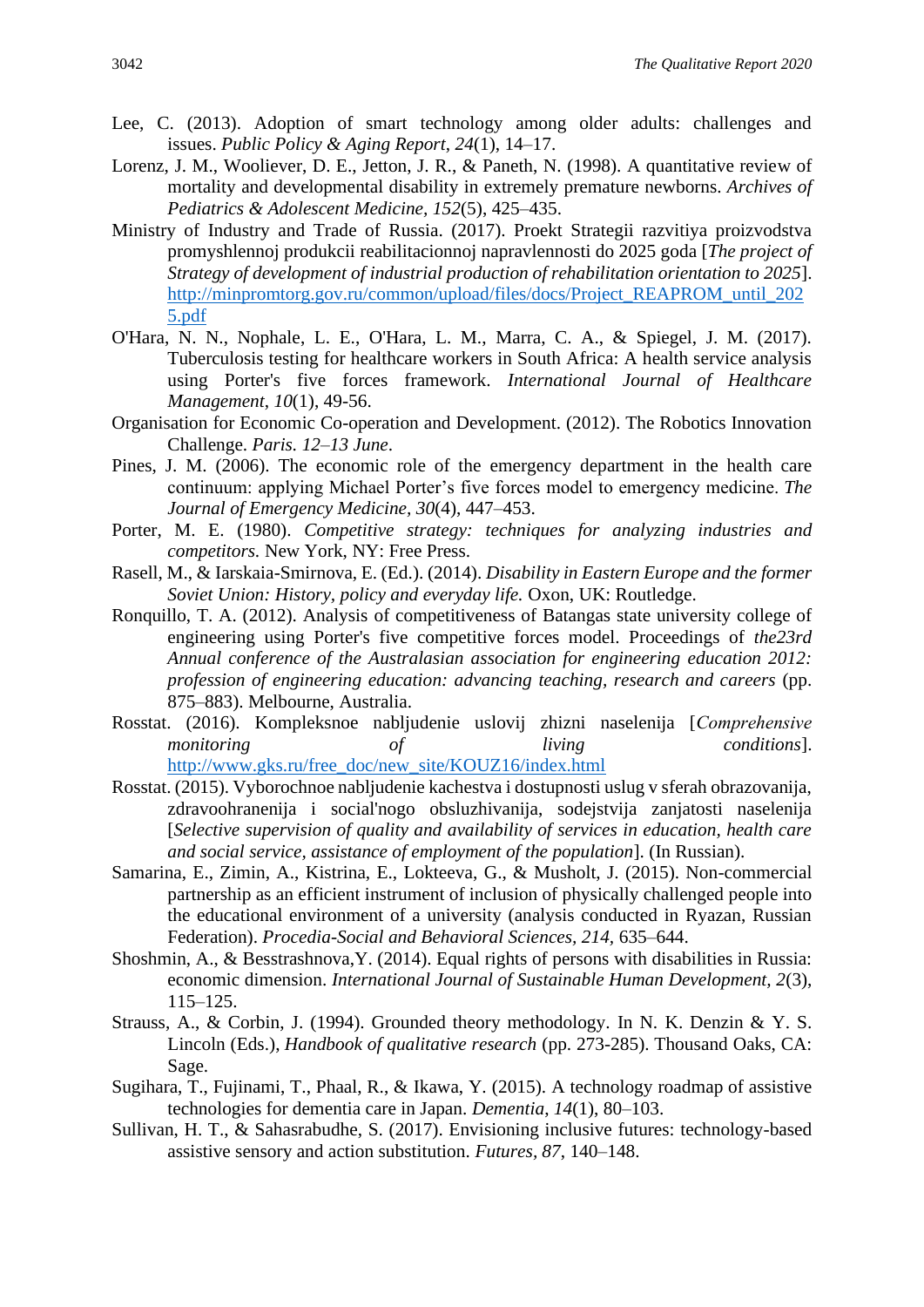- Lee, C. (2013). Adoption of smart technology among older adults: challenges and issues. *Public Policy & Aging Report*, *24*(1), 14–17.
- Lorenz, J. M., Wooliever, D. E., Jetton, J. R., & Paneth, N. (1998). A quantitative review of mortality and developmental disability in extremely premature newborns. *Archives of Pediatrics & Adolescent Medicine, 152*(5), 425–435.
- Ministry of Industry and Trade of Russia. (2017). Proekt Strategii razvitiya proizvodstva promyshlennoj produkcii reabilitacionnoj napravlennosti do 2025 goda [*The project of Strategy of development of industrial production of rehabilitation orientation to 2025*]. [http://minpromtorg.gov.ru/common/upload/files/docs/Project\\_REAPROM\\_until\\_202](http://minpromtorg.gov.ru/common/upload/files/docs/Project_REAPROM_until_2025.pdf) [5.pdf](http://minpromtorg.gov.ru/common/upload/files/docs/Project_REAPROM_until_2025.pdf)
- O'Hara, N. N., Nophale, L. E., O'Hara, L. M., Marra, C. A., & Spiegel, J. M. (2017). Tuberculosis testing for healthcare workers in South Africa: A health service analysis using Porter's five forces framework. *International Journal of Healthcare Management*, *10*(1), 49-56.
- Organisation for Economic Co-operation and Development. (2012). The Robotics Innovation Challenge. *Paris. 12–13 June*.
- Pines, J. M. (2006). The economic role of the emergency department in the health care continuum: applying Michael Porter's five forces model to emergency medicine. *The Journal of Emergency Medicine, 30*(4), 447–453.
- Porter, M. E. (1980). *Competitive strategy: techniques for analyzing industries and competitors.* New York, NY: Free Press.
- Rasell, M., & Iarskaia-Smirnova, E. (Ed.). (2014). *Disability in Eastern Europe and the former Soviet Union: History, policy and everyday life.* Oxon, UK: Routledge.
- Ronquillo, T. A. (2012). Analysis of competitiveness of Batangas state university college of engineering using Porter's five competitive forces model. Proceedings of *the23rd Annual conference of the Australasian association for engineering education 2012: profession of engineering education: advancing teaching, research and careers* (pp. 875–883). Melbourne, Australia.
- Rosstat. (2016). Kompleksnoe nabljudenie uslovij zhizni naselenija [*Сomprehensive monitoring of living conditions*]. [http://www.gks.ru/free\\_doc/new\\_site/KOUZ16/index.html](http://www.gks.ru/free_doc/new_site/KOUZ16/index.html)
- Rosstat. (2015). Vyborochnoe nabljudenie kachestva i dostupnosti uslug v sferah obrazovanija, zdravoohranenija i social'nogo obsluzhivanija, sodejstvija zanjatosti naselenija [*Selective supervision of quality and availability of services in education, health care and social service, assistance of employment of the population*]. (In Russian).
- Samarina, E., Zimin, A., Kistrina, E., Lokteeva, G., & Musholt, J. (2015). Non-commercial partnership as an efficient instrument of inclusion of physically challenged people into the educational environment of a university (analysis conducted in Ryazan, Russian Federation). *Procedia-Social and Behavioral Sciences, 214,* 635–644.
- Shoshmin, A., & Besstrashnova,Y. (2014). Equal rights of persons with disabilities in Russia: economic dimension. *International Journal of Sustainable Human Development, 2*(3), 115–125.
- Strauss, A., & Corbin, J. (1994). Grounded theory methodology. In N. K. Denzin & Y. S. Lincoln (Eds.), *Handbook of qualitative research* (pp. 273-285). Thousand Oaks, CA: Sage.
- Sugihara, T., Fujinami, T., Phaal, R., & Ikawa, Y. (2015). A technology roadmap of assistive technologies for dementia care in Japan. *Dementia*, *14*(1), 80–103.
- Sullivan, H. T., & Sahasrabudhe, S. (2017). Envisioning inclusive futures: technology-based assistive sensory and action substitution. *Futures, 87*, 140–148.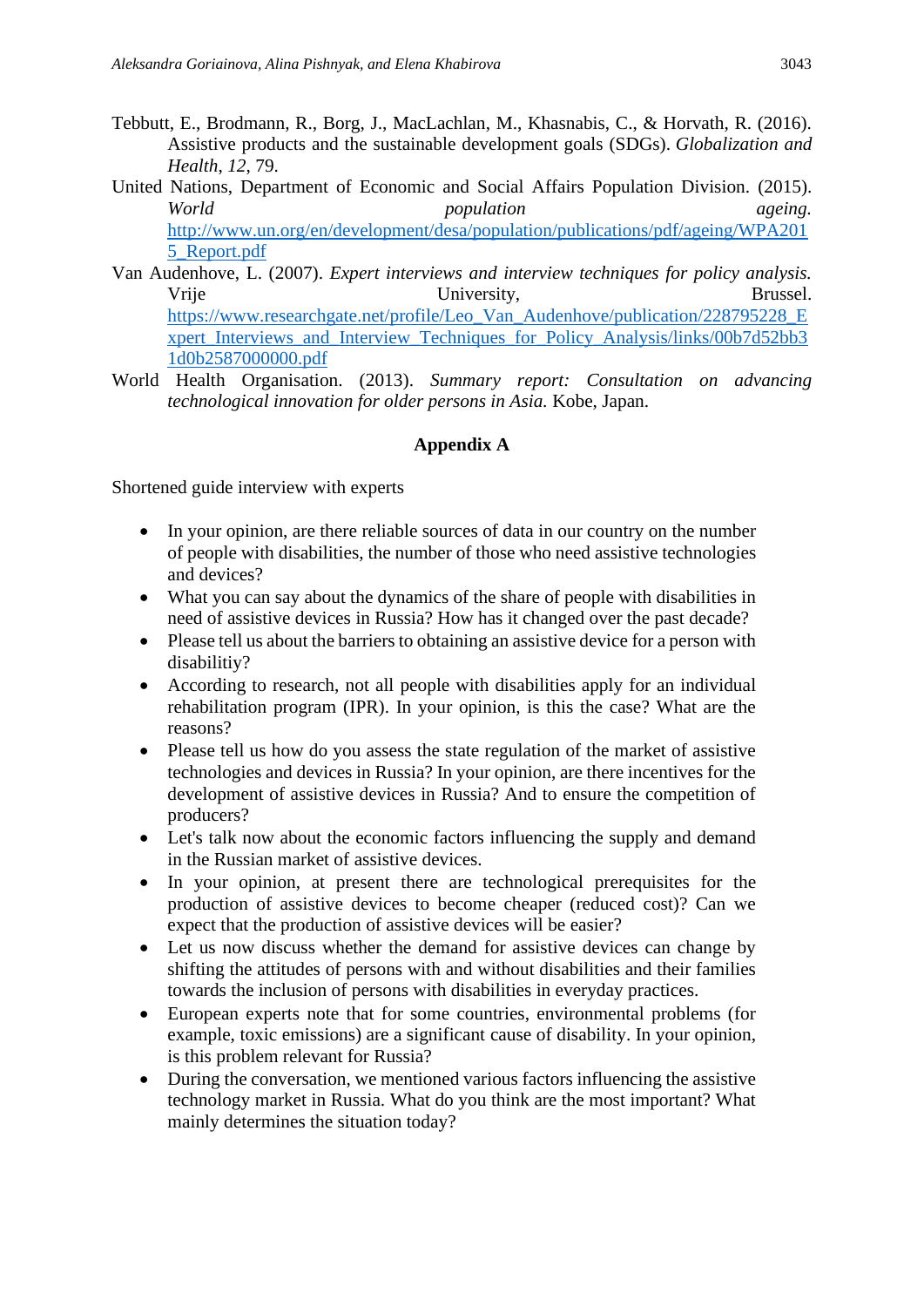- Tebbutt, E., Brodmann, R., Borg, J., MacLachlan, M., Khasnabis, C., & Horvath, R. (2016). Assistive products and the sustainable development goals (SDGs). *Globalization and Health*, *12*, 79.
- United Nations, Department of Economic and Social Affairs Population Division. (2015). *World population ageing.*  [http://www.un.org/en/development/desa/population/publications/pdf/ageing/WPA201](http://www.un.org/en/development/desa/population/publications/pdf/ageing/WPA2015_Report.pdf) [5\\_Report.pdf](http://www.un.org/en/development/desa/population/publications/pdf/ageing/WPA2015_Report.pdf)
- Van Audenhove, L. (2007). *Expert interviews and interview techniques for policy analysis.* Vrije University, Brussel. [https://www.researchgate.net/profile/Leo\\_Van\\_Audenhove/publication/228795228\\_E](https://www.researchgate.net/profile/Leo_Van_Audenhove/publication/228795228_Expert_Interviews_and_Interview_Techniques_for_Policy_Analysis/links/00b7d52bb31d0b2587000000.pdf) [xpert\\_Interviews\\_and\\_Interview\\_Techniques\\_for\\_Policy\\_Analysis/links/00b7d52bb3](https://www.researchgate.net/profile/Leo_Van_Audenhove/publication/228795228_Expert_Interviews_and_Interview_Techniques_for_Policy_Analysis/links/00b7d52bb31d0b2587000000.pdf) [1d0b2587000000.pdf](https://www.researchgate.net/profile/Leo_Van_Audenhove/publication/228795228_Expert_Interviews_and_Interview_Techniques_for_Policy_Analysis/links/00b7d52bb31d0b2587000000.pdf)
- World Health Organisation. (2013). *Summary report: Consultation on advancing technological innovation for older persons in Asia.* Kobe, Japan.

#### **Appendix A**

Shortened guide interview with experts

- In your opinion, are there reliable sources of data in our country on the number of people with disabilities, the number of those who need assistive technologies and devices?
- What you can say about the dynamics of the share of people with disabilities in need of assistive devices in Russia? How has it changed over the past decade?
- Please tell us about the barriers to obtaining an assistive device for a person with disabilitiy?
- According to research, not all people with disabilities apply for an individual rehabilitation program (IPR). In your opinion, is this the case? What are the reasons?
- Please tell us how do you assess the state regulation of the market of assistive technologies and devices in Russia? In your opinion, are there incentives for the development of assistive devices in Russia? And to ensure the competition of producers?
- Let's talk now about the economic factors influencing the supply and demand in the Russian market of assistive devices.
- In your opinion, at present there are technological prerequisites for the production of assistive devices to become cheaper (reduced cost)? Can we expect that the production of assistive devices will be easier?
- Let us now discuss whether the demand for assistive devices can change by shifting the attitudes of persons with and without disabilities and their families towards the inclusion of persons with disabilities in everyday practices.
- European experts note that for some countries, environmental problems (for example, toxic emissions) are a significant cause of disability. In your opinion, is this problem relevant for Russia?
- During the conversation, we mentioned various factors influencing the assistive technology market in Russia. What do you think are the most important? What mainly determines the situation today?